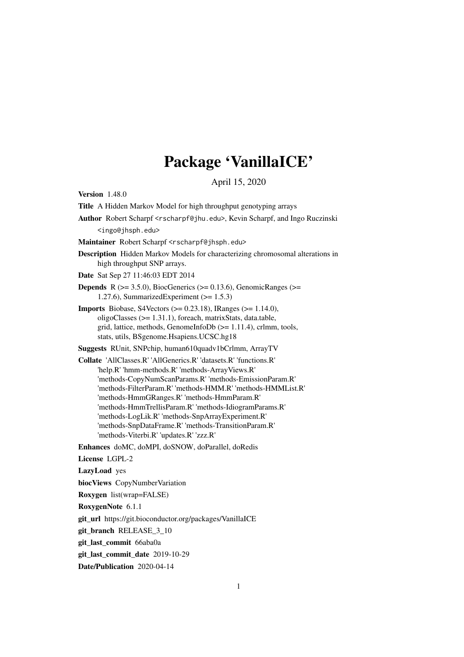# Package 'VanillaICE'

April 15, 2020

<span id="page-0-0"></span>Version 1.48.0

Title A Hidden Markov Model for high throughput genotyping arrays

Author Robert Scharpf <rscharpf@jhu.edu>, Kevin Scharpf, and Ingo Ruczinski <ingo@jhsph.edu>

Maintainer Robert Scharpf <rscharpf@jhsph.edu>

Description Hidden Markov Models for characterizing chromosomal alterations in high throughput SNP arrays.

Date Sat Sep 27 11:46:03 EDT 2014

**Depends** R  $(>= 3.5.0)$ , BiocGenerics  $(>= 0.13.6)$ , GenomicRanges  $(>= 0.13.6)$ 1.27.6), SummarizedExperiment  $(>= 1.5.3)$ 

**Imports** Biobase, S4Vectors  $(>= 0.23.18)$ , IRanges  $(>= 1.14.0)$ , oligoClasses (>= 1.31.1), foreach, matrixStats, data.table, grid, lattice, methods, GenomeInfoDb (>= 1.11.4), crlmm, tools, stats, utils, BSgenome.Hsapiens.UCSC.hg18

Suggests RUnit, SNPchip, human610quadv1bCrlmm, ArrayTV

Collate 'AllClasses.R' 'AllGenerics.R' 'datasets.R' 'functions.R' 'help.R' 'hmm-methods.R' 'methods-ArrayViews.R' 'methods-CopyNumScanParams.R' 'methods-EmissionParam.R' 'methods-FilterParam.R' 'methods-HMM.R' 'methods-HMMList.R' 'methods-HmmGRanges.R' 'methods-HmmParam.R' 'methods-HmmTrellisParam.R' 'methods-IdiogramParams.R' 'methods-LogLik.R' 'methods-SnpArrayExperiment.R' 'methods-SnpDataFrame.R' 'methods-TransitionParam.R' 'methods-Viterbi.R' 'updates.R' 'zzz.R'

Enhances doMC, doMPI, doSNOW, doParallel, doRedis

License LGPL-2

LazyLoad yes

biocViews CopyNumberVariation

Roxygen list(wrap=FALSE)

RoxygenNote 6.1.1

git url https://git.bioconductor.org/packages/VanillaICE

git branch RELEASE 3 10

git\_last\_commit 66aba0a

git\_last\_commit\_date 2019-10-29

Date/Publication 2020-04-14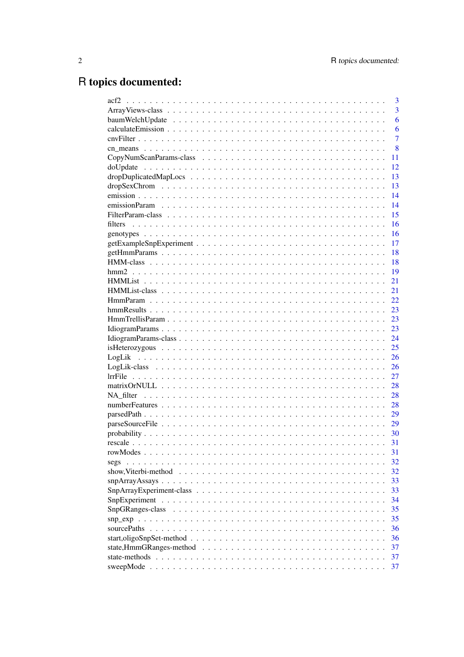# R topics documented:

|                                                                                                                            | 3              |
|----------------------------------------------------------------------------------------------------------------------------|----------------|
|                                                                                                                            | 3              |
|                                                                                                                            | 6              |
|                                                                                                                            | 6              |
|                                                                                                                            | $\overline{7}$ |
|                                                                                                                            | 8              |
|                                                                                                                            | 11             |
|                                                                                                                            | 12             |
|                                                                                                                            | 13             |
|                                                                                                                            | 13             |
|                                                                                                                            | 14             |
|                                                                                                                            | 14             |
|                                                                                                                            | 15             |
| filters                                                                                                                    | 16             |
|                                                                                                                            | 16             |
|                                                                                                                            | 17             |
|                                                                                                                            | 18             |
|                                                                                                                            | 18             |
| hmm2                                                                                                                       | 19             |
|                                                                                                                            | 21             |
|                                                                                                                            | 21             |
|                                                                                                                            | 22             |
|                                                                                                                            | 23             |
|                                                                                                                            | 23             |
|                                                                                                                            | 23             |
|                                                                                                                            | 24             |
|                                                                                                                            | 25             |
|                                                                                                                            | 26             |
|                                                                                                                            | 26             |
|                                                                                                                            | 27             |
|                                                                                                                            | 28             |
|                                                                                                                            | 28             |
|                                                                                                                            | 28             |
|                                                                                                                            | 29             |
|                                                                                                                            | 29             |
| $\text{probability} \dots \dots \dots \dots \dots \dots \dots \dots \dots \dots \dots \dots \dots \dots \dots \dots \dots$ | 30             |
|                                                                                                                            | 31             |
|                                                                                                                            | 31             |
| segs                                                                                                                       | 32             |
| show, Viterbi-method                                                                                                       | 32             |
|                                                                                                                            | 33             |
|                                                                                                                            | 33             |
|                                                                                                                            | 34             |
|                                                                                                                            | 35             |
| SnpGRanges-class                                                                                                           | 35             |
|                                                                                                                            | 36             |
| sourcePaths                                                                                                                |                |
|                                                                                                                            | 36             |
|                                                                                                                            | 37             |
|                                                                                                                            | 37             |
|                                                                                                                            | 37             |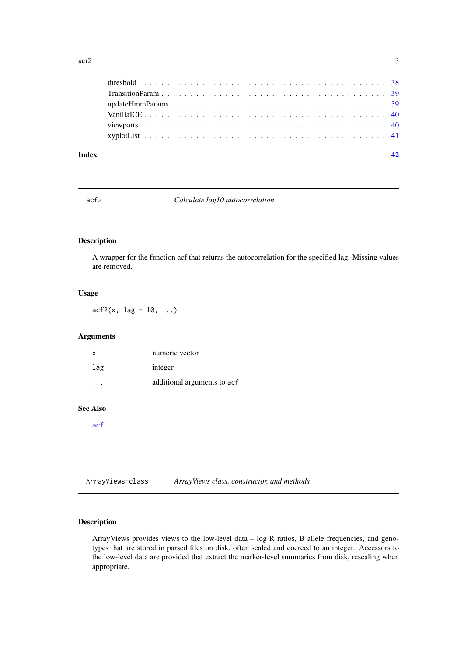<span id="page-2-0"></span>

| <b>Index</b> |  |
|--------------|--|
|              |  |
|              |  |
|              |  |
|              |  |
|              |  |
|              |  |

### acf2 *Calculate lag10 autocorrelation*

### Description

A wrapper for the function acf that returns the autocorrelation for the specified lag. Missing values are removed.

### Usage

 $acf2(x, lag = 10, ...)$ 

### Arguments

| x   | numeric vector              |
|-----|-----------------------------|
| lag | integer                     |
|     | additional arguments to acf |

### See Also

[acf](#page-0-0)

<span id="page-2-1"></span>ArrayViews-class *ArrayViews class, constructor, and methods*

### <span id="page-2-2"></span>Description

ArrayViews provides views to the low-level data – log R ratios, B allele frequencies, and genotypes that are stored in parsed files on disk, often scaled and coerced to an integer. Accessors to the low-level data are provided that extract the marker-level summaries from disk, rescaling when appropriate.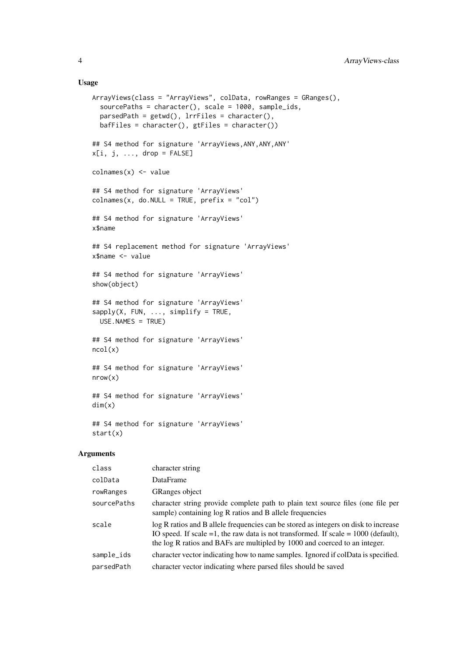#### Usage

```
ArrayViews(class = "ArrayViews", colData, rowRanges = GRanges(),
 sourcePaths = character(), scale = 1000, sample_ids,
 parsedPath = getwd(), lrrFiles = character(),
 bafFiles = character(), gtFiles = character())
## S4 method for signature 'ArrayViews, ANY, ANY, ANY'
x[i, j, \ldots, drop = FALSE]colnames(x) <- value
## S4 method for signature 'ArrayViews'
colnames(x, do.NULL = TRUE, prefix = "col")## S4 method for signature 'ArrayViews'
x$name
## S4 replacement method for signature 'ArrayViews'
x$name <- value
## S4 method for signature 'ArrayViews'
show(object)
## S4 method for signature 'ArrayViews'
sapply(X, FUN, ..., simplify = TRUE,USE.NAMES = TRUE)
## S4 method for signature 'ArrayViews'
ncol(x)
## S4 method for signature 'ArrayViews'
nrow(x)
## S4 method for signature 'ArrayViews'
dim(x)
## S4 method for signature 'ArrayViews'
start(x)
```
#### Arguments

| class       | character string                                                                                                                                                                                                                                             |
|-------------|--------------------------------------------------------------------------------------------------------------------------------------------------------------------------------------------------------------------------------------------------------------|
| colData     | <b>DataFrame</b>                                                                                                                                                                                                                                             |
| rowRanges   | <b>GRanges object</b>                                                                                                                                                                                                                                        |
| sourcePaths | character string provide complete path to plain text source files (one file per<br>sample) containing log R ratios and B allele frequencies                                                                                                                  |
| scale       | log R ratios and B allele frequencies can be stored as integers on disk to increase<br>IO speed. If scale $=1$ , the raw data is not transformed. If scale $= 1000$ (default),<br>the log R ratios and BAFs are multipled by 1000 and coerced to an integer. |
| sample_ids  | character vector indicating how to name samples. Ignored if colData is specified.                                                                                                                                                                            |
| parsedPath  | character vector indicating where parsed files should be saved                                                                                                                                                                                               |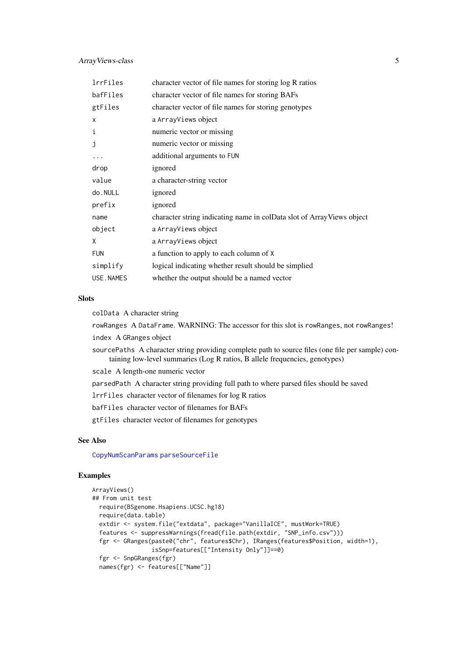<span id="page-4-0"></span>

| lrrFiles   | character vector of file names for storing log R ratios               |
|------------|-----------------------------------------------------------------------|
| bafFiles   | character vector of file names for storing BAFs                       |
| gtFiles    | character vector of file names for storing genotypes                  |
| X          | a ArrayViews object                                                   |
| i          | numeric vector or missing                                             |
| j          | numeric vector or missing                                             |
| .          | additional arguments to FUN                                           |
| drop       | ignored                                                               |
| value      | a character-string vector                                             |
| do.NULL    | ignored                                                               |
| prefix     | ignored                                                               |
| name       | character string indicating name in colData slot of ArrayViews object |
| object     | a ArrayViews object                                                   |
| X          | a ArrayViews object                                                   |
| <b>FUN</b> | a function to apply to each column of X                               |
| simplify   | logical indicating whether result should be simplied                  |
| USE.NAMES  | whether the output should be a named vector                           |

#### **Slots**

colData A character string

rowRanges A DataFrame. WARNING: The accessor for this slot is rowRanges, not rowRanges!

index A GRanges object

sourcePaths A character string providing complete path to source files (one file per sample) containing low-level summaries (Log R ratios, B allele frequencies, genotypes)

scale A length-one numeric vector

parsedPath A character string providing full path to where parsed files should be saved

lrrFiles character vector of filenames for log R ratios

bafFiles character vector of filenames for BAFs

gtFiles character vector of filenames for genotypes

### See Also

[CopyNumScanParams](#page-10-1) [parseSourceFile](#page-28-1)

#### Examples

```
ArrayViews()
## From unit test
 require(BSgenome.Hsapiens.UCSC.hg18)
  require(data.table)
  extdir <- system.file("extdata", package="VanillaICE", mustWork=TRUE)
  features <- suppressWarnings(fread(file.path(extdir, "SNP_info.csv")))
  fgr <- GRanges(paste0("chr", features$Chr), IRanges(features$Position, width=1),
                 isSnp=features[["Intensity Only"]]==0)
  fgr <- SnpGRanges(fgr)
  names(fgr) <- features[["Name"]]
```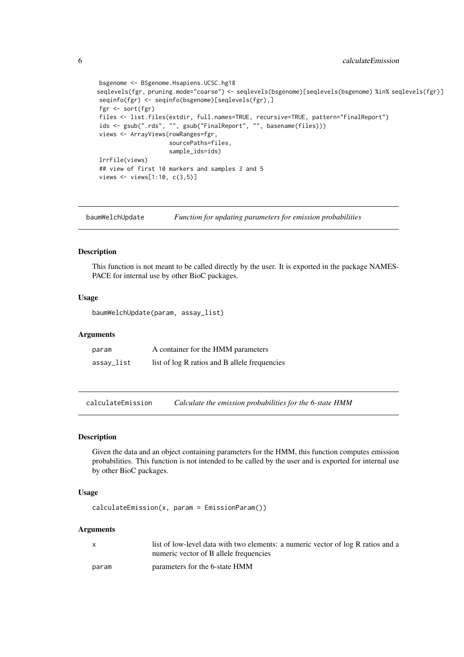```
bsgenome <- BSgenome.Hsapiens.UCSC.hg18
seqlevels(fgr, pruning.mode="coarse") <- seqlevels(bsgenome)[seqlevels(bsgenome) %in% seqlevels(fgr)]
seqinfo(fgr) <- seqinfo(bsgenome)[seqlevels(fgr),]
fgr <- sort(fgr)
files <- list.files(extdir, full.names=TRUE, recursive=TRUE, pattern="FinalReport")
ids <- gsub(".rds", "", gsub("FinalReport", "", basename(files)))
views <- ArrayViews(rowRanges=fgr,
                    sourcePaths=files,
                    sample_ids=ids)
lrrFile(views)
## view of first 10 markers and samples 3 and 5
views <- views[1:10, c(3,5)]
```
baumWelchUpdate *Function for updating parameters for emission probabilities*

#### Description

This function is not meant to be called directly by the user. It is exported in the package NAMES-PACE for internal use by other BioC packages.

#### Usage

baumWelchUpdate(param, assay\_list)

#### Arguments

| param      | A container for the HMM parameters            |
|------------|-----------------------------------------------|
| assay_list | list of log R ratios and B allele frequencies |

calculateEmission *Calculate the emission probabilities for the 6-state HMM*

#### Description

Given the data and an object containing parameters for the HMM, this function computes emission probabilities. This function is not intended to be called by the user and is exported for internal use by other BioC packages.

#### Usage

calculateEmission(x, param = EmissionParam())

#### Arguments

| X     | list of low-level data with two elements: a numeric vector of log R ratios and a |
|-------|----------------------------------------------------------------------------------|
|       | numeric vector of B allele frequencies                                           |
| param | parameters for the 6-state HMM                                                   |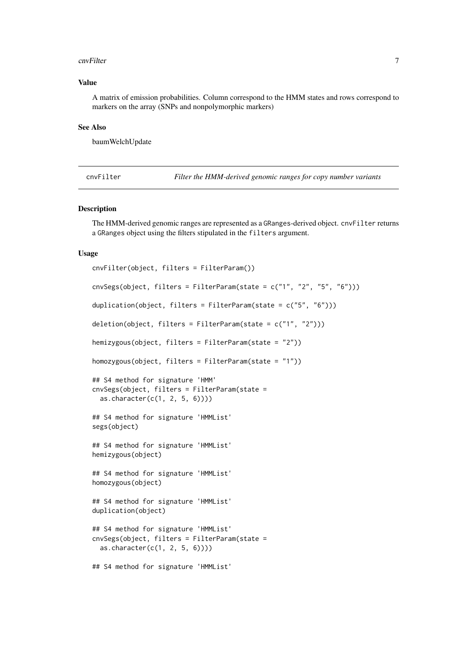#### <span id="page-6-0"></span>cnvFilter 7

#### Value

A matrix of emission probabilities. Column correspond to the HMM states and rows correspond to markers on the array (SNPs and nonpolymorphic markers)

### See Also

baumWelchUpdate

<span id="page-6-1"></span>cnvFilter *Filter the HMM-derived genomic ranges for copy number variants*

#### <span id="page-6-2"></span>Description

The HMM-derived genomic ranges are represented as a GRanges-derived object. cnvFilter returns a GRanges object using the filters stipulated in the filters argument.

#### Usage

```
cnvFilter(object, filters = FilterParam())
cnvSegs(object, filters = FilterParam(state = c("1", "2", "5", "6")))
duplication(object, filters = FilterParam(state = c("5", "6")))
deletion(object, filters = FilterParam(state = c("1", "2")))
hemizygous(object, filters = FilterParam(state = "2"))
homozygous(object, filters = FilterParam(state = "1"))
## S4 method for signature 'HMM'
cnvSegs(object, filters = FilterParam(state =
  as.character(c(1, 2, 5, 6))))
## S4 method for signature 'HMMList'
segs(object)
## S4 method for signature 'HMMList'
hemizygous(object)
## S4 method for signature 'HMMList'
homozygous(object)
## S4 method for signature 'HMMList'
duplication(object)
## S4 method for signature 'HMMList'
cnvSegs(object, filters = FilterParam(state =
  as.character(c(1, 2, 5, 6))))
## S4 method for signature 'HMMList'
```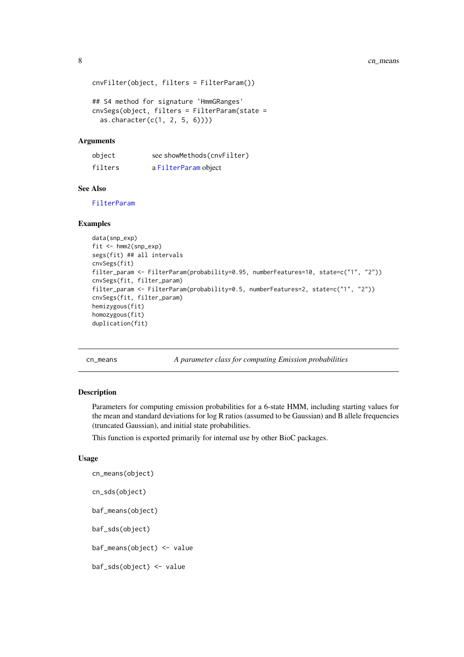```
cnvFilter(object, filters = FilterParam())
## S4 method for signature 'HmmGRanges'
cnvSegs(object, filters = FilterParam(state =
```
#### as.character( $c(1, 2, 5, 6)$ )))

### Arguments

| object  | see showMethods(cnvFilter) |
|---------|----------------------------|
| filters | a FilterParam object       |

#### See Also

[FilterParam](#page-14-1)

#### Examples

```
data(snp_exp)
fit <- hmm2(snp_exp)
segs(fit) ## all intervals
cnvSegs(fit)
filter_param <- FilterParam(probability=0.95, numberFeatures=10, state=c("1", "2"))
cnvSegs(fit, filter_param)
filter_param <- FilterParam(probability=0.5, numberFeatures=2, state=c("1", "2"))
cnvSegs(fit, filter_param)
hemizygous(fit)
homozygous(fit)
duplication(fit)
```
cn\_means *A parameter class for computing Emission probabilities*

### <span id="page-7-1"></span>Description

Parameters for computing emission probabilities for a 6-state HMM, including starting values for the mean and standard deviations for log R ratios (assumed to be Gaussian) and B allele frequencies (truncated Gaussian), and initial state probabilities.

This function is exported primarily for internal use by other BioC packages.

### Usage

```
cn_means(object)
cn_sds(object)
baf_means(object)
baf_sds(object)
baf_means(object) <- value
baf_sds(object) <- value
```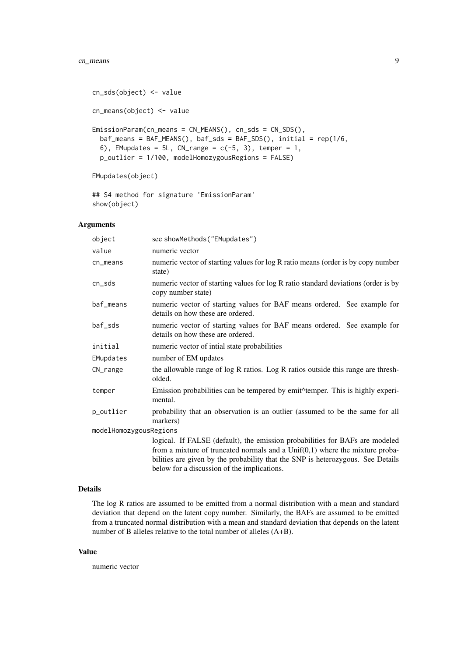#### cn\_means 9

```
cn_sds(object) <- value
cn_means(object) <- value
EmissionParam(cn_means = CN_MEANS(), cn_sds = CN_SDS(),
 baf_means = BAF_MEANS(), baf_sds = BAF_SDS(), initial = rep(1/6,
 6), EMupdates = 5L, CN_range = c(-5, 3), temper = 1,
 p_outlier = 1/100, modelHomozygousRegions = FALSE)
EMupdates(object)
```
## S4 method for signature 'EmissionParam' show(object)

### Arguments

| object                 | see showMethods("EMupdates")                                                                                           |
|------------------------|------------------------------------------------------------------------------------------------------------------------|
| value                  | numeric vector                                                                                                         |
| cn_means               | numeric vector of starting values for log R ratio means (order is by copy number<br>state)                             |
| cn_sds                 | numeric vector of starting values for log R ratio standard deviations (order is by<br>copy number state)               |
| baf_means              | numeric vector of starting values for BAF means ordered. See example for<br>details on how these are ordered.          |
| baf_sds                | numeric vector of starting values for BAF means ordered. See example for<br>details on how these are ordered.          |
| initial                | numeric vector of intial state probabilities                                                                           |
| EMupdates              | number of EM updates                                                                                                   |
| CN_range               | the allowable range of log R ratios. Log R ratios outside this range are thresh-<br>olded.                             |
| temper                 | Emission probabilities can be tempered by emit <sup><math>\land</math></sup> temper. This is highly experi-<br>mental. |
| p_outlier              | probability that an observation is an outlier (assumed to be the same for all<br>markers)                              |
| modelHomozygousRegions |                                                                                                                        |
|                        | logical. If FALSE (default), the emission probabilities for BAFs are modeled                                           |
|                        | from a mixture of truncated normals and a $Unif(0,1)$ where the mixture proba-                                         |
|                        | bilities are given by the probability that the SNP is heterozygous. See Details                                        |
|                        | below for a discussion of the implications.                                                                            |

#### Details

The log R ratios are assumed to be emitted from a normal distribution with a mean and standard deviation that depend on the latent copy number. Similarly, the BAFs are assumed to be emitted from a truncated normal distribution with a mean and standard deviation that depends on the latent number of B alleles relative to the total number of alleles (A+B).

#### Value

numeric vector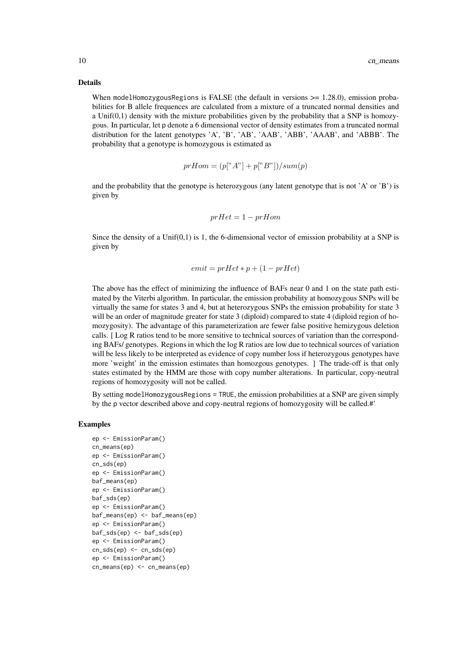#### Details

When modelHomozygousRegions is FALSE (the default in versions  $\ge$  = 1.28.0), emission probabilities for B allele frequences are calculated from a mixture of a truncated normal densities and a Unif( $0,1$ ) density with the mixture probabilities given by the probability that a SNP is homozygous. In particular, let p denote a 6 dimensional vector of density estimates from a truncated normal distribution for the latent genotypes 'A', 'B', 'AB', 'AAB', 'ABB', 'AAAB', and 'ABBB'. The probability that a genotype is homozygous is estimated as

$$
prHom = (p[^{"}A"]+p[^{"}B"])/sum(p)
$$

and the probability that the genotype is heterozygous (any latent genotype that is not 'A' or 'B') is given by

$$
prHet=1-prHom
$$

Since the density of a Unif( $0,1$ ) is 1, the 6-dimensional vector of emission probability at a SNP is given by

$$
emit = prHet * p + (1-prHet)
$$

The above has the effect of minimizing the influence of BAFs near 0 and 1 on the state path estimated by the Viterbi algorithm. In particular, the emission probability at homozygous SNPs will be virtually the same for states 3 and 4, but at heterozygous SNPs the emission probability for state 3 will be an order of magnitude greater for state 3 (diploid) compared to state 4 (diploid region of homozygosity). The advantage of this parameterization are fewer false positive hemizygous deletion calls. [ Log R ratios tend to be more sensitive to technical sources of variation than the corresponding BAFs/ genotypes. Regions in which the log R ratios are low due to technical sources of variation will be less likely to be interpreted as evidence of copy number loss if heterozygous genotypes have more 'weight' in the emission estimates than homozgous genotypes. ] The trade-off is that only states estimated by the HMM are those with copy number alterations. In particular, copy-neutral regions of homozygosity will not be called.

By setting modelHomozygousRegions = TRUE, the emission probabilities at a SNP are given simply by the p vector described above and copy-neutral regions of homozygosity will be called.#'

#### Examples

```
ep <- EmissionParam()
cn_means(ep)
ep <- EmissionParam()
cn_sds(ep)
ep <- EmissionParam()
baf_means(ep)
ep <- EmissionParam()
baf_sds(ep)
ep <- EmissionParam()
baf_means(ep) <- baf_means(ep)
ep <- EmissionParam()
baf_sds(ep) <- baf_sds(ep)
ep <- EmissionParam()
cn_sds(ep) <- cn_sds(ep)ep <- EmissionParam()
cn_means(ep) <- cn_means(ep)
```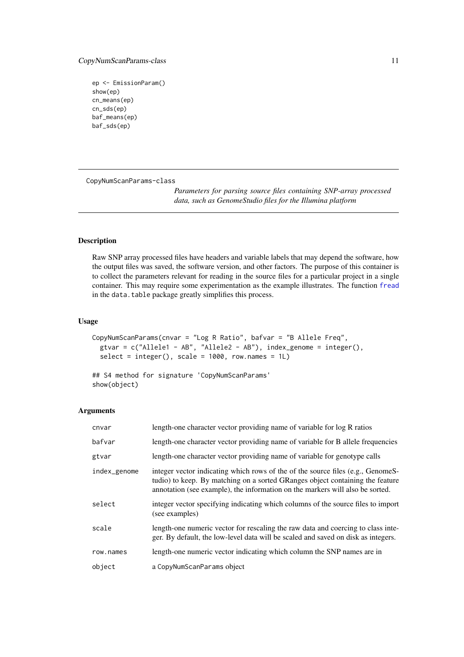#### <span id="page-10-0"></span>CopyNumScanParams-class 11

```
ep <- EmissionParam()
show(ep)
cn_means(ep)
cn_sds(ep)
baf_means(ep)
baf_sds(ep)
```
CopyNumScanParams-class

*Parameters for parsing source files containing SNP-array processed data, such as GenomeStudio files for the Illumina platform*

### <span id="page-10-1"></span>Description

Raw SNP array processed files have headers and variable labels that may depend the software, how the output files was saved, the software version, and other factors. The purpose of this container is to collect the parameters relevant for reading in the source files for a particular project in a single container. This may require some experimentation as the example illustrates. The function [fread](#page-0-0) in the data.table package greatly simplifies this process.

### Usage

```
CopyNumScanParams(cnvar = "Log R Ratio", bafvar = "B Allele Freq",
 gtvar = c("Allele1 - AB", "Allele2 - AB"), index-genome = integer(),select = integer(), scale = 1000, row.name = 1L)## S4 method for signature 'CopyNumScanParams'
```

```
show(object)
```
#### Arguments

| cnvar        | length-one character vector providing name of variable for log R ratios                                                                                                                                                                           |
|--------------|---------------------------------------------------------------------------------------------------------------------------------------------------------------------------------------------------------------------------------------------------|
| bafvar       | length-one character vector providing name of variable for B allele frequencies                                                                                                                                                                   |
| gtvar        | length-one character vector providing name of variable for genotype calls                                                                                                                                                                         |
| index_genome | integer vector indicating which rows of the of the source files (e.g., GenomeS-<br>tudio) to keep. By matching on a sorted GRanges object containing the feature<br>annotation (see example), the information on the markers will also be sorted. |
| select       | integer vector specifying indicating which columns of the source files to import<br>(see examples)                                                                                                                                                |
| scale        | length-one numeric vector for rescaling the raw data and coercing to class inte-<br>ger. By default, the low-level data will be scaled and saved on disk as integers.                                                                             |
| row.names    | length-one numeric vector indicating which column the SNP names are in                                                                                                                                                                            |
| object       | a CopyNumScanParams object                                                                                                                                                                                                                        |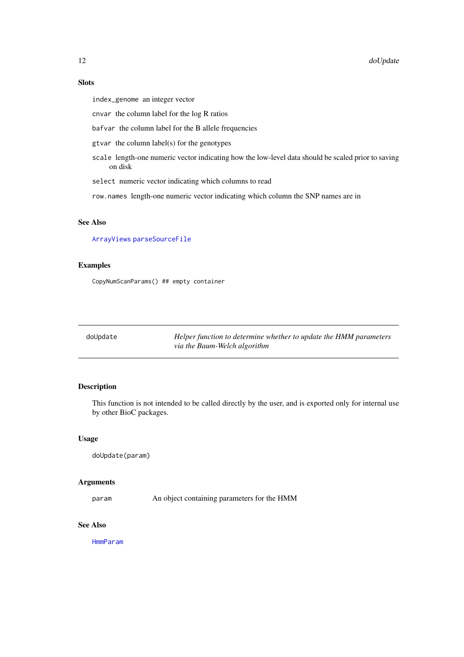#### <span id="page-11-0"></span>Slots

index\_genome an integer vector

cnvar the column label for the log R ratios

bafvar the column label for the B allele frequencies

gtvar the column label(s) for the genotypes

scale length-one numeric vector indicating how the low-level data should be scaled prior to saving on disk

select numeric vector indicating which columns to read

row.names length-one numeric vector indicating which column the SNP names are in

### See Also

[ArrayViews](#page-2-1) [parseSourceFile](#page-28-1)

### Examples

CopyNumScanParams() ## empty container

| doUpdate | Helper function to determine whether to update the HMM parameters |
|----------|-------------------------------------------------------------------|
|          | via the Baum-Welch algorithm                                      |

### Description

This function is not intended to be called directly by the user, and is exported only for internal use by other BioC packages.

### Usage

doUpdate(param)

#### Arguments

param An object containing parameters for the HMM

#### See Also

[HmmParam](#page-21-1)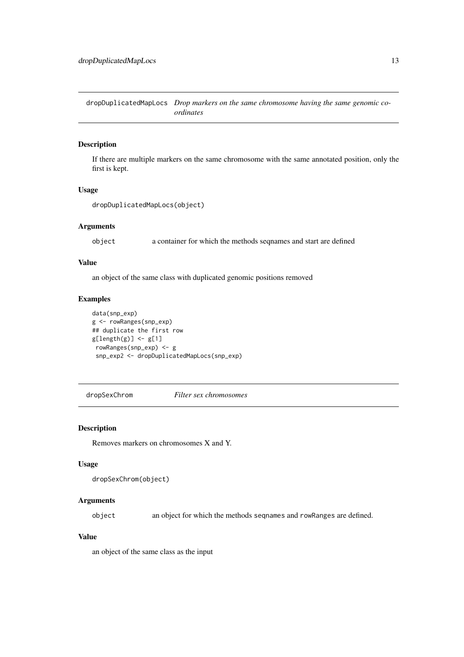<span id="page-12-0"></span>dropDuplicatedMapLocs *Drop markers on the same chromosome having the same genomic coordinates*

### Description

If there are multiple markers on the same chromosome with the same annotated position, only the first is kept.

#### Usage

```
dropDuplicatedMapLocs(object)
```
### Arguments

object a container for which the methods seqnames and start are defined

### Value

an object of the same class with duplicated genomic positions removed

### Examples

```
data(snp_exp)
g <- rowRanges(snp_exp)
## duplicate the first row
g[length(g)] \leftarrow g[1]rowRanges(snp_exp) <- g
 snp_exp2 <- dropDuplicatedMapLocs(snp_exp)
```
dropSexChrom *Filter sex chromosomes*

#### Description

Removes markers on chromosomes X and Y.

### Usage

```
dropSexChrom(object)
```
### Arguments

object an object for which the methods seqnames and rowRanges are defined.

### Value

an object of the same class as the input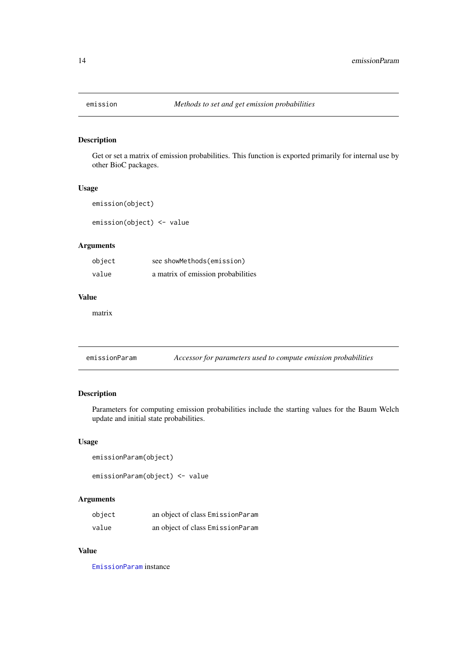<span id="page-13-0"></span>

### Description

Get or set a matrix of emission probabilities. This function is exported primarily for internal use by other BioC packages.

#### Usage

```
emission(object)
```
emission(object) <- value

### Arguments

| object | see showMethods(emission)          |
|--------|------------------------------------|
| value  | a matrix of emission probabilities |

### Value

matrix

emissionParam *Accessor for parameters used to compute emission probabilities*

### Description

Parameters for computing emission probabilities include the starting values for the Baum Welch update and initial state probabilities.

### Usage

```
emissionParam(object)
```
emissionParam(object) <- value

### Arguments

| object | an object of class EmissionParam |
|--------|----------------------------------|
| value  | an object of class EmissionParam |

### Value

[EmissionParam](#page-7-1) instance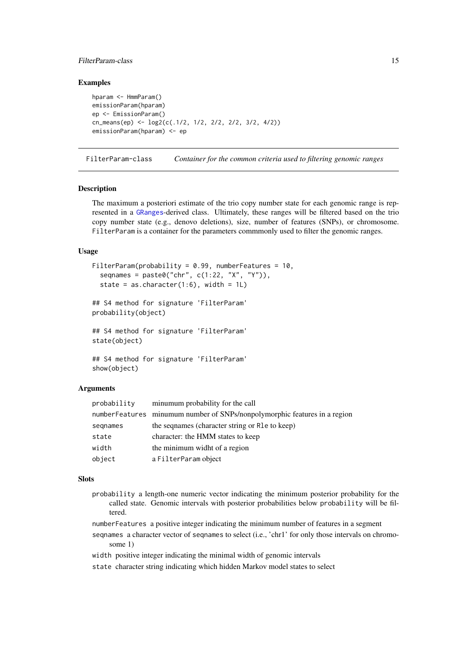#### <span id="page-14-0"></span>FilterParam-class 15

#### Examples

```
hparam <- HmmParam()
emissionParam(hparam)
ep <- EmissionParam()
cn_means(ep) <- log2(c(.1/2, 1/2, 2/2, 2/2, 3/2, 4/2))
emissionParam(hparam) <- ep
```
FilterParam-class *Container for the common criteria used to filtering genomic ranges*

#### <span id="page-14-1"></span>Description

The maximum a posteriori estimate of the trio copy number state for each genomic range is represented in a [GRanges](#page-0-0)-derived class. Ultimately, these ranges will be filtered based on the trio copy number state (e.g., denovo deletions), size, number of features (SNPs), or chromosome. FilterParam is a container for the parameters commmonly used to filter the genomic ranges.

### Usage

```
FilterParam(probability = 0.99, numberFeatures = 10,
  seqnames = paste0("chr", c(1:22, "X", "Y")),
  state = as.character(1:6), width = 1L)
## S4 method for signature 'FilterParam'
probability(object)
## S4 method for signature 'FilterParam'
state(object)
## S4 method for signature 'FilterParam'
show(object)
```
### Arguments

| numberFeatures minumum number of SNPs/nonpolymorphic features in a region<br>the sequames (character string or R1e to keep)<br>segnames<br>character: the HMM states to keep<br>state<br>the minimum widht of a region<br>width<br>object<br>a FilterParam object | probability | minumum probability for the call |
|-------------------------------------------------------------------------------------------------------------------------------------------------------------------------------------------------------------------------------------------------------------------|-------------|----------------------------------|
|                                                                                                                                                                                                                                                                   |             |                                  |
|                                                                                                                                                                                                                                                                   |             |                                  |
|                                                                                                                                                                                                                                                                   |             |                                  |
|                                                                                                                                                                                                                                                                   |             |                                  |
|                                                                                                                                                                                                                                                                   |             |                                  |

#### Slots

- probability a length-one numeric vector indicating the minimum posterior probability for the called state. Genomic intervals with posterior probabilities below probability will be filtered.
- numberFeatures a positive integer indicating the minimum number of features in a segment
- seqnames a character vector of seqnames to select (i.e., 'chr1' for only those intervals on chromosome 1)
- width positive integer indicating the minimal width of genomic intervals
- state character string indicating which hidden Markov model states to select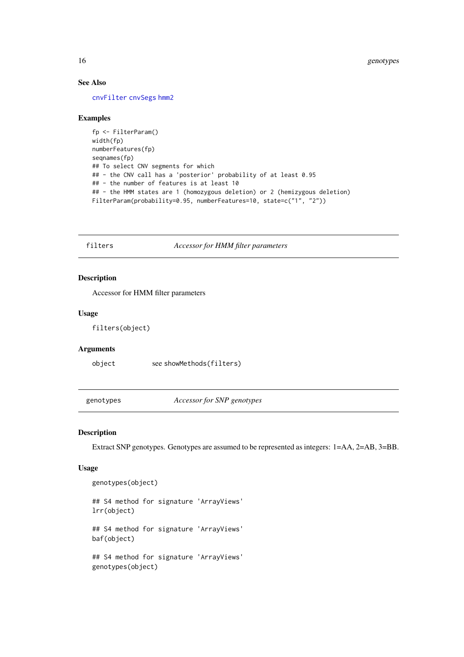### See Also

[cnvFilter](#page-6-1) [cnvSegs](#page-6-2) [hmm2](#page-18-1)

#### Examples

```
fp <- FilterParam()
width(fp)
numberFeatures(fp)
seqnames(fp)
## To select CNV segments for which
## - the CNV call has a 'posterior' probability of at least 0.95
## - the number of features is at least 10
## - the HMM states are 1 (homozygous deletion) or 2 (hemizygous deletion)
FilterParam(probability=0.95, numberFeatures=10, state=c("1", "2"))
```
filters *Accessor for HMM filter parameters*

#### Description

Accessor for HMM filter parameters

#### Usage

filters(object)

#### Arguments

object see showMethods(filters)

genotypes *Accessor for SNP genotypes*

#### Description

Extract SNP genotypes. Genotypes are assumed to be represented as integers: 1=AA, 2=AB, 3=BB.

### Usage

genotypes(object)

```
## S4 method for signature 'ArrayViews'
lrr(object)
## S4 method for signature 'ArrayViews'
baf(object)
## S4 method for signature 'ArrayViews'
genotypes(object)
```
<span id="page-15-0"></span>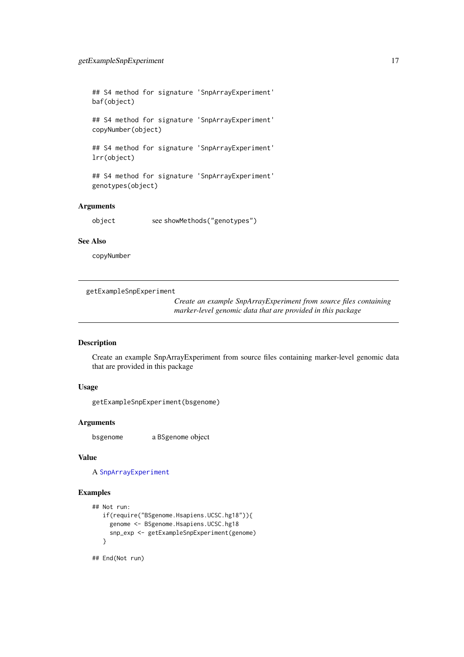<span id="page-16-0"></span>## S4 method for signature 'SnpArrayExperiment' baf(object)

## S4 method for signature 'SnpArrayExperiment' copyNumber(object)

## S4 method for signature 'SnpArrayExperiment' lrr(object)

## S4 method for signature 'SnpArrayExperiment' genotypes(object)

#### Arguments

object see showMethods("genotypes")

#### See Also

copyNumber

getExampleSnpExperiment

*Create an example SnpArrayExperiment from source files containing marker-level genomic data that are provided in this package*

#### Description

Create an example SnpArrayExperiment from source files containing marker-level genomic data that are provided in this package

### Usage

getExampleSnpExperiment(bsgenome)

### Arguments

bsgenome a BSgenome object

### Value

A [SnpArrayExperiment](#page-32-1)

### Examples

```
## Not run:
   if(require("BSgenome.Hsapiens.UCSC.hg18")){
    genome <- BSgenome.Hsapiens.UCSC.hg18
     snp_exp <- getExampleSnpExperiment(genome)
   }
## End(Not run)
```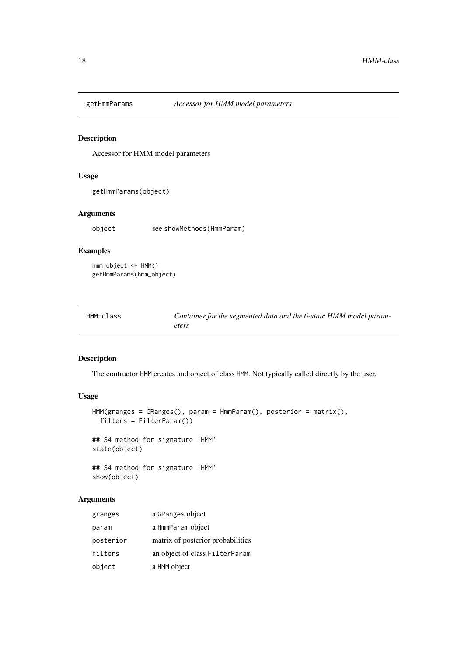<span id="page-17-0"></span>

### Description

Accessor for HMM model parameters

### Usage

getHmmParams(object)

### Arguments

object see showMethods(HmmParam)

### Examples

```
hmm_object <- HMM()
getHmmParams(hmm_object)
```
<span id="page-17-1"></span>

| HMM-class | Container for the segmented data and the 6-state HMM model param- |
|-----------|-------------------------------------------------------------------|
|           | eters                                                             |

### Description

The contructor HMM creates and object of class HMM. Not typically called directly by the user.

### Usage

```
HMM(granges = GRanges(), param = HmmParam(), posterior = matrix(),
  filters = FilterParam())
## S4 method for signature 'HMM'
state(object)
## S4 method for signature 'HMM'
show(object)
```
### Arguments

| granges   | a GRanges object                  |
|-----------|-----------------------------------|
| param     | a HmmParam object                 |
| posterior | matrix of posterior probabilities |
| filters   | an object of class FilterParam    |
| object    | a HMM object                      |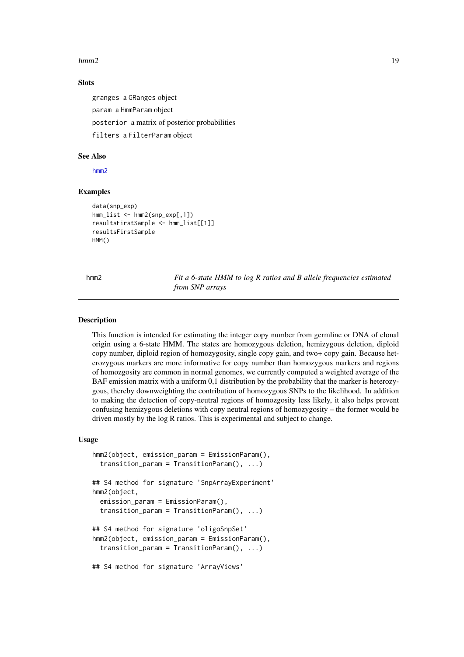#### <span id="page-18-0"></span> $hmm2$  19

#### Slots

granges a GRanges object

param a HmmParam object

posterior a matrix of posterior probabilities

filters a FilterParam object

#### See Also

[hmm2](#page-18-1)

### Examples

```
data(snp_exp)
hmm_list <- hmm2(snp_exp[,1])
resultsFirstSample <- hmm_list[[1]]
resultsFirstSample
HMM()
```
<span id="page-18-1"></span>

hmm2 *Fit a 6-state HMM to log R ratios and B allele frequencies estimated from SNP arrays*

#### Description

This function is intended for estimating the integer copy number from germline or DNA of clonal origin using a 6-state HMM. The states are homozygous deletion, hemizygous deletion, diploid copy number, diploid region of homozygosity, single copy gain, and two+ copy gain. Because heterozygous markers are more informative for copy number than homozygous markers and regions of homozgosity are common in normal genomes, we currently computed a weighted average of the BAF emission matrix with a uniform 0,1 distribution by the probability that the marker is heterozygous, thereby downweighting the contribution of homozygous SNPs to the likelihood. In addition to making the detection of copy-neutral regions of homozgosity less likely, it also helps prevent confusing hemizygous deletions with copy neutral regions of homozygosity – the former would be driven mostly by the log R ratios. This is experimental and subject to change.

#### Usage

```
hmm2(object, emission_param = EmissionParam(),
  transition_param = TransitionParam(), ...)
## S4 method for signature 'SnpArrayExperiment'
hmm2(object,
  emission_param = EmissionParam(),
  transition_param = TransitionParam(), ...)
## S4 method for signature 'oligoSnpSet'
hmm2(object, emission_param = EmissionParam(),
  transition_param = TransitionParam(), ...)
## S4 method for signature 'ArrayViews'
```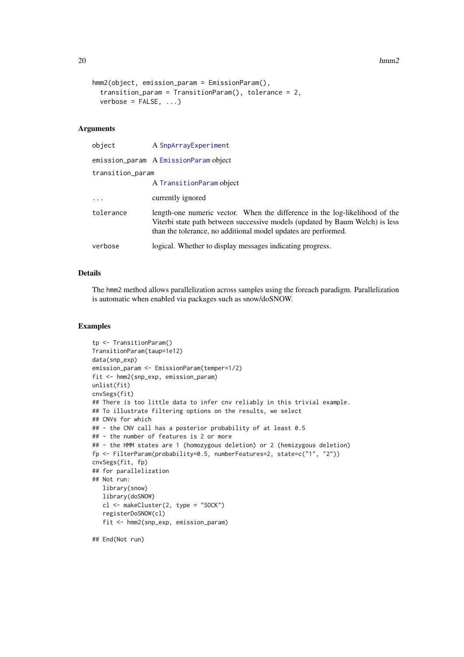```
hmm2(object, emission_param = EmissionParam(),
  transition_param = TransitionParam(), tolerance = 2,
 verbose = FALSE, ...)
```
#### Arguments

| object           | A SnpArrayExperiment                                                                                                                                                                                                          |
|------------------|-------------------------------------------------------------------------------------------------------------------------------------------------------------------------------------------------------------------------------|
|                  | emission_param A EmissionParam object                                                                                                                                                                                         |
| transition_param |                                                                                                                                                                                                                               |
|                  | A TransitionParam object                                                                                                                                                                                                      |
| $\ddotsc$        | currently ignored                                                                                                                                                                                                             |
| tolerance        | length-one numeric vector. When the difference in the log-likelihood of the<br>Viterbi state path between successive models (updated by Baum Welch) is less<br>than the tolerance, no additional model updates are performed. |
| verbose          | logical. Whether to display messages indicating progress.                                                                                                                                                                     |

#### Details

The hmm2 method allows parallelization across samples using the foreach paradigm. Parallelization is automatic when enabled via packages such as snow/doSNOW.

#### Examples

```
tp <- TransitionParam()
TransitionParam(taup=1e12)
data(snp_exp)
emission_param <- EmissionParam(temper=1/2)
fit <- hmm2(snp_exp, emission_param)
unlist(fit)
cnvSegs(fit)
## There is too little data to infer cnv reliably in this trivial example.
## To illustrate filtering options on the results, we select
## CNVs for which
## - the CNV call has a posterior probability of at least 0.5
## - the number of features is 2 or more
## - the HMM states are 1 (homozygous deletion) or 2 (hemizygous deletion)
fp <- FilterParam(probability=0.5, numberFeatures=2, state=c("1", "2"))
cnvSegs(fit, fp)
## for parallelization
## Not run:
  library(snow)
   library(doSNOW)
   cl <- makeCluster(2, type = "SOCK")
   registerDoSNOW(cl)
   fit <- hmm2(snp_exp, emission_param)
```
## End(Not run)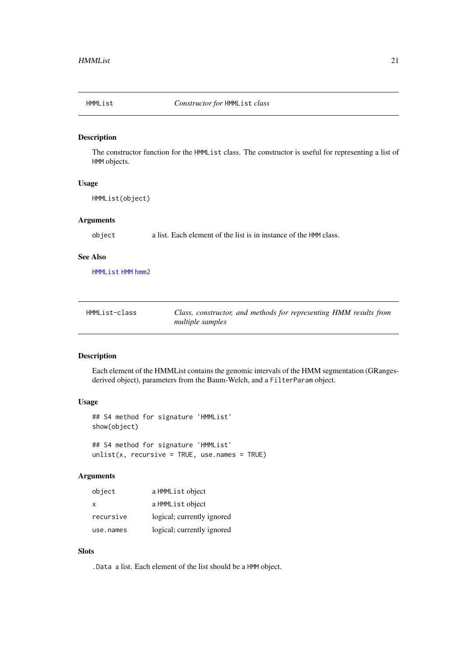<span id="page-20-0"></span>

#### Description

The constructor function for the HMMList class. The constructor is useful for representing a list of HMM objects.

#### Usage

HMMList(object)

### Arguments

object a list. Each element of the list is in instance of the HMM class.

#### See Also

[HMMList](#page-20-1) [HMM](#page-17-1) [hmm2](#page-18-1)

<span id="page-20-1"></span>

| HMMList-class | Class, constructor, and methods for representing HMM results from |
|---------------|-------------------------------------------------------------------|
|               | <i>multiple samples</i>                                           |

### Description

Each element of the HMMList contains the genomic intervals of the HMM segmentation (GRangesderived object), parameters from the Baum-Welch, and a FilterParam object.

### Usage

```
## S4 method for signature 'HMMList'
show(object)
## S4 method for signature 'HMMList'
```

```
unlist(x, recursive = TRUE, use.names = TRUE)
```
#### Arguments

| object       | a HMML ist object          |
|--------------|----------------------------|
| $\mathsf{x}$ | a HMML ist object          |
| recursive    | logical; currently ignored |
| use.names    | logical; currently ignored |

### Slots

.Data a list. Each element of the list should be a HMM object.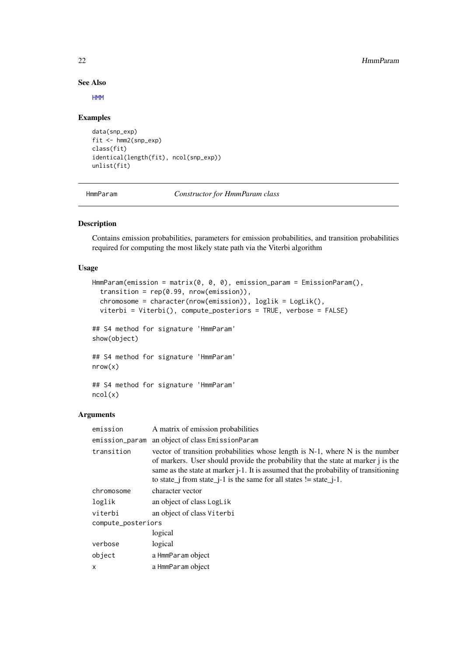#### See Also

[HMM](#page-17-1)

### Examples

```
data(snp_exp)
fit <- hmm2(snp_exp)
class(fit)
identical(length(fit), ncol(snp_exp))
unlist(fit)
```
<span id="page-21-1"></span>HmmParam *Constructor for HmmParam class*

### Description

Contains emission probabilities, parameters for emission probabilities, and transition probabilities required for computing the most likely state path via the Viterbi algorithm

### Usage

```
HmmParam(emission = matrix(0, 0, 0), emission_param = EmissionParam(),
 transition = rep(0.99, nrow(emission)),chromosome = character(nrow(emission)), loglik = LogLik(),
 viterbi = Viterbi(), compute_posteriors = TRUE, verbose = FALSE)
## S4 method for signature 'HmmParam'
show(object)
## S4 method for signature 'HmmParam'
nrow(x)
## S4 method for signature 'HmmParam'
ncol(x)
```
### Arguments

| emission           | A matrix of emission probabilities                                                                                                                                                                                                                                                                                                         |
|--------------------|--------------------------------------------------------------------------------------------------------------------------------------------------------------------------------------------------------------------------------------------------------------------------------------------------------------------------------------------|
|                    | emission_param an object of class EmissionParam                                                                                                                                                                                                                                                                                            |
| transition         | vector of transition probabilities whose length is N-1, where N is the number<br>of markers. User should provide the probability that the state at marker j is the<br>same as the state at marker <i>j</i> -1. It is assumed that the probability of transitioning<br>to state_j from state_j-1 is the same for all states $!=$ state_j-1. |
| chromosome         | character vector                                                                                                                                                                                                                                                                                                                           |
| loglik             | an object of class LogLik                                                                                                                                                                                                                                                                                                                  |
| viterbi            | an object of class Viterbi                                                                                                                                                                                                                                                                                                                 |
| compute_posteriors |                                                                                                                                                                                                                                                                                                                                            |
|                    | logical                                                                                                                                                                                                                                                                                                                                    |
| verbose            | logical                                                                                                                                                                                                                                                                                                                                    |
| object             | a HmmParam object                                                                                                                                                                                                                                                                                                                          |
| x                  | a HmmParam object                                                                                                                                                                                                                                                                                                                          |

<span id="page-21-0"></span>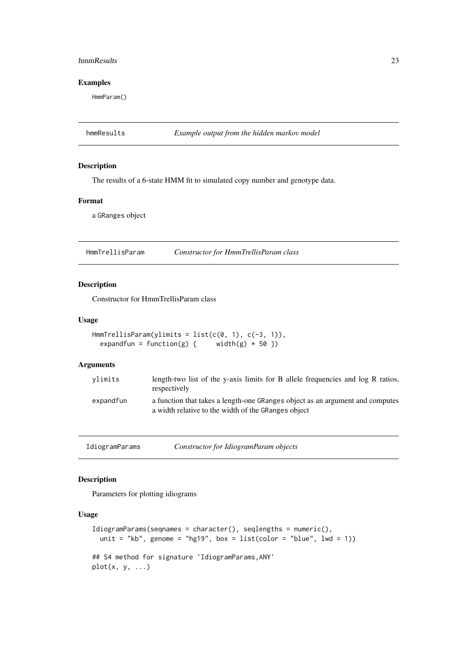#### <span id="page-22-0"></span>hmmResults 23

#### Examples

HmmParam()

hmmResults *Example output from the hidden markov model*

### Description

The results of a 6-state HMM fit to simulated copy number and genotype data.

#### Format

a GRanges object

HmmTrellisParam *Constructor for HmmTrellisParam class*

#### Description

Constructor for HmmTrellisParam class

### Usage

```
HmmTrellisParam(ylimits = list(c(0, 1), c(-3, 1)),
  expandfun = function(g) { width(g) * 50 })
```
#### Arguments

| vlimits   | length-two list of the y-axis limits for B allele frequencies and log R ratios,<br>respectively                                      |
|-----------|--------------------------------------------------------------------------------------------------------------------------------------|
| expandfun | a function that takes a length-one GRanges object as an argument and computes<br>a width relative to the width of the GRanges object |

IdiogramParams *Constructor for IdiogramParam objects*

### Description

Parameters for plotting idiograms

#### Usage

```
IdiogramParams(seqnames = character(), seqlengths = numeric(),
 unit = "kb", genome = "hg19", box = list(color = "blue", lwd = 1))
## S4 method for signature 'IdiogramParams,ANY'
plot(x, y, ...)
```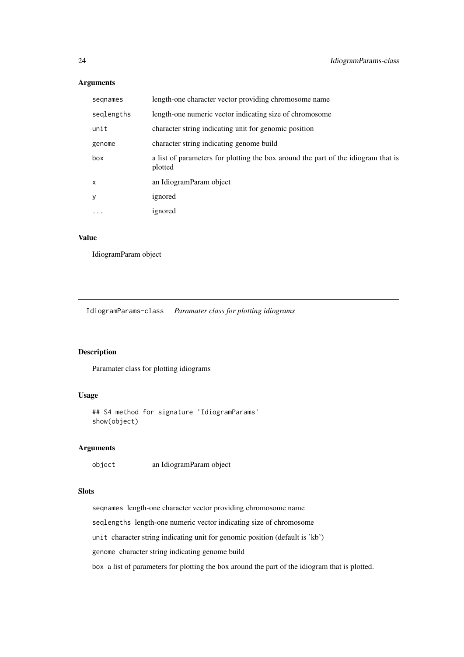### <span id="page-23-0"></span>Arguments

| segnames   | length-one character vector providing chromosome name                                        |
|------------|----------------------------------------------------------------------------------------------|
| seqlengths | length-one numeric vector indicating size of chromosome                                      |
| unit       | character string indicating unit for genomic position                                        |
| genome     | character string indicating genome build                                                     |
| box        | a list of parameters for plotting the box around the part of the idiogram that is<br>plotted |
| X          | an IdiogramParam object                                                                      |
| y          | ignored                                                                                      |
| $\cdots$   | ignored                                                                                      |

### Value

IdiogramParam object

IdiogramParams-class *Paramater class for plotting idiograms*

### Description

Paramater class for plotting idiograms

#### Usage

```
## S4 method for signature 'IdiogramParams'
show(object)
```
### Arguments

object an IdiogramParam object

### Slots

seqnames length-one character vector providing chromosome name

seqlengths length-one numeric vector indicating size of chromosome

unit character string indicating unit for genomic position (default is 'kb')

genome character string indicating genome build

box a list of parameters for plotting the box around the part of the idiogram that is plotted.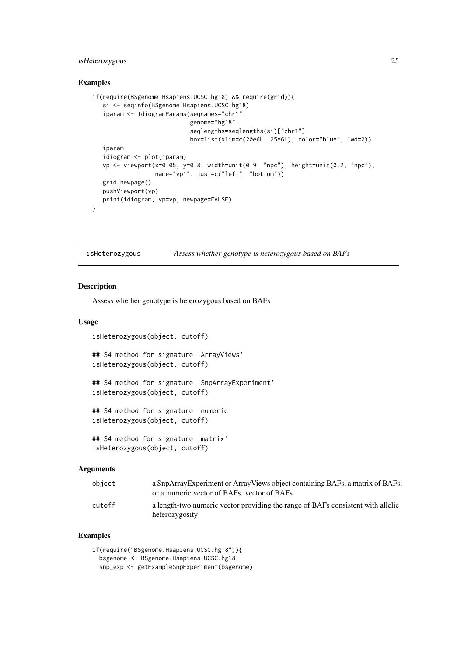#### <span id="page-24-0"></span>isHeterozygous 25

#### Examples

```
if(require(BSgenome.Hsapiens.UCSC.hg18) && require(grid)){
   si <- seqinfo(BSgenome.Hsapiens.UCSC.hg18)
   iparam <- IdiogramParams(seqnames="chr1",
                            genome="hg18",
                            seqlengths=seqlengths(si)["chr1"],
                            box=list(xlim=c(20e6L, 25e6L), color="blue", lwd=2))
   iparam
   idiogram <- plot(iparam)
   vp <- viewport(x=0.05, y=0.8, width=unit(0.9, "npc"), height=unit(0.2, "npc"),
                  name="vp1", just=c("left", "bottom"))
   grid.newpage()
   pushViewport(vp)
   print(idiogram, vp=vp, newpage=FALSE)
}
```
isHeterozygous *Assess whether genotype is heterozygous based on BAFs*

#### Description

Assess whether genotype is heterozygous based on BAFs

#### Usage

isHeterozygous(object, cutoff)

## S4 method for signature 'ArrayViews' isHeterozygous(object, cutoff)

## S4 method for signature 'SnpArrayExperiment' isHeterozygous(object, cutoff)

## S4 method for signature 'numeric' isHeterozygous(object, cutoff)

## S4 method for signature 'matrix' isHeterozygous(object, cutoff)

#### Arguments

| obiect | a SnpArrayExperiment or ArrayViews object containing BAFs, a matrix of BAFs,<br>or a numeric vector of BAFs, vector of BAFs |
|--------|-----------------------------------------------------------------------------------------------------------------------------|
| cutoff | a length-two numeric vector providing the range of BAFs consistent with allelic<br>heterozygosity                           |

#### Examples

if(require("BSgenome.Hsapiens.UCSC.hg18")){ bsgenome <- BSgenome.Hsapiens.UCSC.hg18 snp\_exp <- getExampleSnpExperiment(bsgenome)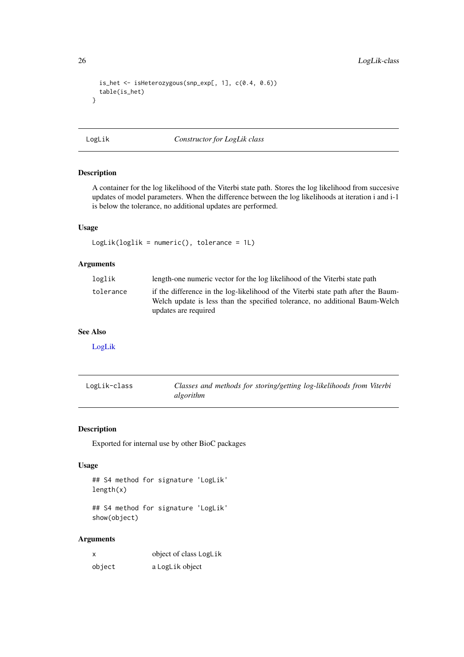```
is_het <- isHeterozygous(snp_exp[, 1], c(0.4, 0.6))
  table(is_het)
}
```
<span id="page-25-2"></span>LogLik *Constructor for LogLik class*

#### Description

A container for the log likelihood of the Viterbi state path. Stores the log likelihood from succesive updates of model parameters. When the difference between the log likelihoods at iteration i and i-1 is below the tolerance, no additional updates are performed.

#### Usage

LogLik(loglik = numeric(), tolerance = 1L)

### Arguments

| loglik    | length-one numeric vector for the log likelihood of the Viterbi state path                                                                                                               |
|-----------|------------------------------------------------------------------------------------------------------------------------------------------------------------------------------------------|
| tolerance | if the difference in the log-likelihood of the Viterbi state path after the Baum-<br>Welch update is less than the specified tolerance, no additional Baum-Welch<br>updates are required |

### See Also

[LogLik](#page-25-1)

<span id="page-25-1"></span>

| LogLik-class | Classes and methods for storing/getting log-likelihoods from Viterbi |
|--------------|----------------------------------------------------------------------|
|              | algorithm                                                            |

### Description

Exported for internal use by other BioC packages

### Usage

```
## S4 method for signature 'LogLik'
length(x)
```
## S4 method for signature 'LogLik' show(object)

### Arguments

| x      | object of class LogLik |
|--------|------------------------|
| object | a LogLik object        |

<span id="page-25-0"></span>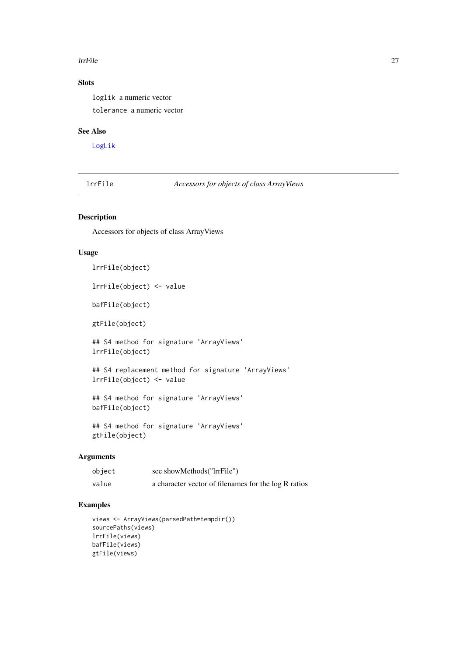#### <span id="page-26-0"></span>lrrFile 27

### Slots

loglik a numeric vector

tolerance a numeric vector

### See Also

[LogLik](#page-25-2)

lrrFile *Accessors for objects of class ArrayViews*

### Description

Accessors for objects of class ArrayViews

### Usage

```
lrrFile(object)
```
lrrFile(object) <- value

bafFile(object)

gtFile(object)

## S4 method for signature 'ArrayViews' lrrFile(object)

## S4 replacement method for signature 'ArrayViews' lrrFile(object) <- value

## S4 method for signature 'ArrayViews' bafFile(object)

## S4 method for signature 'ArrayViews' gtFile(object)

### Arguments

| object | see showMethods("IrrFile")                           |
|--------|------------------------------------------------------|
| value  | a character vector of filenames for the log R ratios |

#### Examples

```
views <- ArrayViews(parsedPath=tempdir())
sourcePaths(views)
lrrFile(views)
bafFile(views)
gtFile(views)
```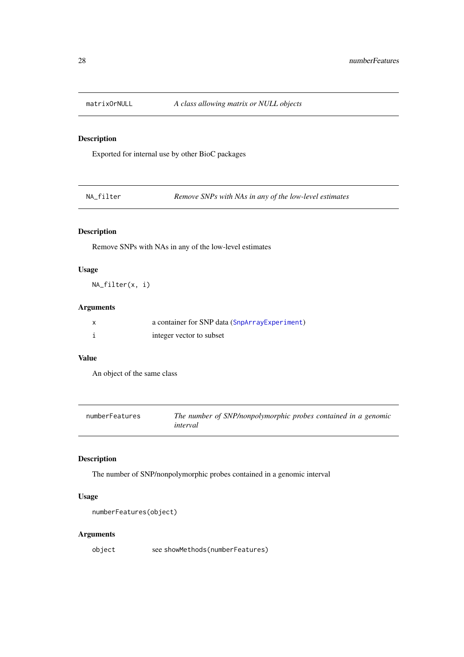<span id="page-27-0"></span>

### Description

Exported for internal use by other BioC packages

NA\_filter *Remove SNPs with NAs in any of the low-level estimates*

### Description

Remove SNPs with NAs in any of the low-level estimates

### Usage

NA\_filter(x, i)

### Arguments

| a container for SNP data (SnpArrayExperiment) |
|-----------------------------------------------|
| integer vector to subset                      |

### Value

An object of the same class

| numberFeatures | The number of SNP/nonpolymorphic probes contained in a genomic<br>interval |
|----------------|----------------------------------------------------------------------------|
|                |                                                                            |

### Description

The number of SNP/nonpolymorphic probes contained in a genomic interval

### Usage

```
numberFeatures(object)
```
### Arguments

object see showMethods(numberFeatures)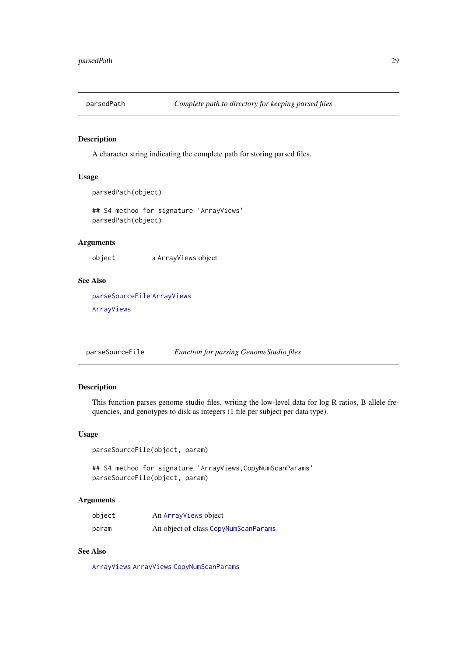<span id="page-28-0"></span>

#### Description

A character string indicating the complete path for storing parsed files.

### Usage

```
parsedPath(object)
```

```
## S4 method for signature 'ArrayViews'
parsedPath(object)
```
### Arguments

object a ArrayViews object

### See Also

[parseSourceFile](#page-28-1) [ArrayViews](#page-2-1) [ArrayViews](#page-2-1)

<span id="page-28-1"></span>parseSourceFile *Function for parsing GenomeStudio files*

#### Description

This function parses genome studio files, writing the low-level data for log R ratios, B allele frequencies, and genotypes to disk as integers (1 file per subject per data type).

### Usage

parseSourceFile(object, param)

## S4 method for signature 'ArrayViews, CopyNumScanParams' parseSourceFile(object, param)

### Arguments

| object | An ArrayViews object                 |
|--------|--------------------------------------|
| param  | An object of class CopyNumScanParams |

### See Also

[ArrayViews](#page-2-2) [ArrayViews](#page-2-2) [CopyNumScanParams](#page-10-1)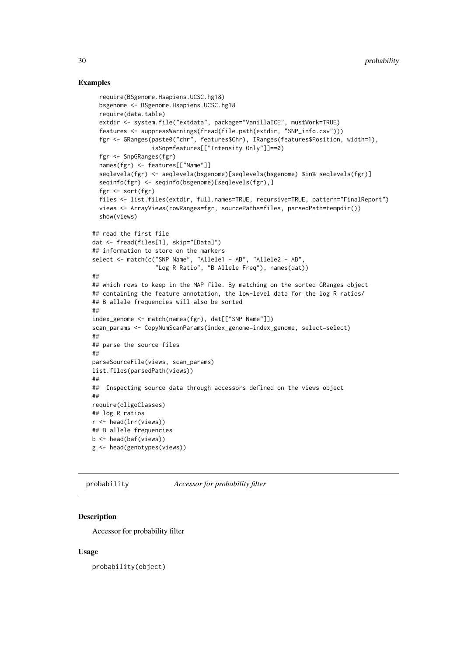#### <span id="page-29-0"></span>Examples

```
require(BSgenome.Hsapiens.UCSC.hg18)
  bsgenome <- BSgenome.Hsapiens.UCSC.hg18
  require(data.table)
  extdir <- system.file("extdata", package="VanillaICE", mustWork=TRUE)
  features <- suppressWarnings(fread(file.path(extdir, "SNP_info.csv")))
  fgr <- GRanges(paste0("chr", features$Chr), IRanges(features$Position, width=1),
                 isSnp=features[["Intensity Only"]]==0)
  fgr <- SnpGRanges(fgr)
  names(fgr) <- features[["Name"]]
  seqlevels(fgr) <- seqlevels(bsgenome)[seqlevels(bsgenome) %in% seqlevels(fgr)]
  seqinfo(fgr) <- seqinfo(bsgenome)[seqlevels(fgr),]
  fgr <- sort(fgr)
  files <- list.files(extdir, full.names=TRUE, recursive=TRUE, pattern="FinalReport")
  views <- ArrayViews(rowRanges=fgr, sourcePaths=files, parsedPath=tempdir())
  show(views)
## read the first file
dat <- fread(files[1], skip="[Data]")
## information to store on the markers
select <- match(c("SNP Name", "Allele1 - AB", "Allele2 - AB",
                  "Log R Ratio", "B Allele Freq"), names(dat))
##
## which rows to keep in the MAP file. By matching on the sorted GRanges object
## containing the feature annotation, the low-level data for the log R ratios/
## B allele frequencies will also be sorted
##
index_genome <- match(names(fgr), dat[["SNP Name"]])
scan_params <- CopyNumScanParams(index_genome=index_genome, select=select)
##
## parse the source files
##
parseSourceFile(views, scan_params)
list.files(parsedPath(views))
##
## Inspecting source data through accessors defined on the views object
##
require(oligoClasses)
## log R ratios
r <- head(lrr(views))
## B allele frequencies
b <- head(baf(views))
g <- head(genotypes(views))
```
probability *Accessor for probability filter*

#### Description

Accessor for probability filter

#### Usage

probability(object)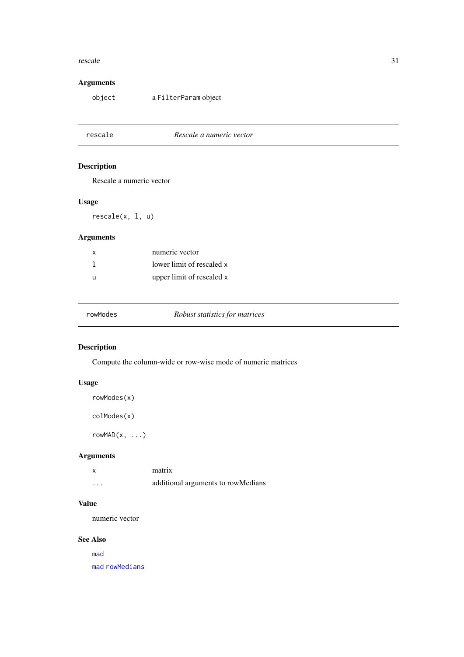#### <span id="page-30-0"></span>rescale 31

## Arguments

object a FilterParam object

### rescale *Rescale a numeric vector*

### Description

Rescale a numeric vector

### Usage

rescale(x, l, u)

### Arguments

| X | numeric vector            |
|---|---------------------------|
|   | lower limit of rescaled x |
| u | upper limit of rescaled x |

| rowModes | Robust statistics for matrices |  |
|----------|--------------------------------|--|
|----------|--------------------------------|--|

### Description

Compute the column-wide or row-wise mode of numeric matrices

### Usage

```
rowModes(x)
```
colModes(x)

 $rowMAD(x, \ldots)$ 

### Arguments

| X        | matrix                             |
|----------|------------------------------------|
| $\cdots$ | additional arguments to rowMedians |

### Value

numeric vector

#### See Also

[mad](#page-0-0)

[mad](#page-0-0) [rowMedians](#page-0-0)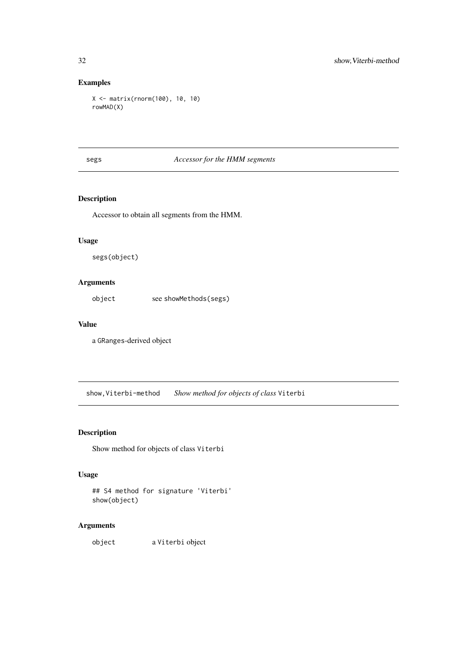### Examples

```
X <- matrix(rnorm(100), 10, 10)
rowMAD(X)
```
### segs *Accessor for the HMM segments*

### Description

Accessor to obtain all segments from the HMM.

### Usage

segs(object)

### Arguments

object see showMethods(segs)

### Value

a GRanges-derived object

show,Viterbi-method *Show method for objects of class* Viterbi

### Description

Show method for objects of class Viterbi

### Usage

```
## S4 method for signature 'Viterbi'
show(object)
```
### Arguments

object a Viterbi object

<span id="page-31-0"></span>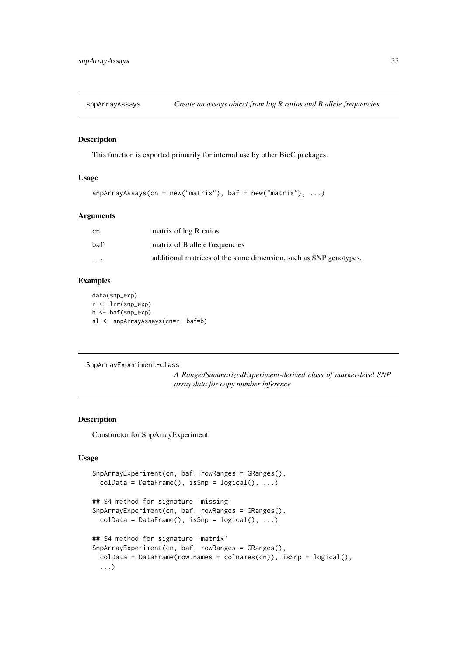<span id="page-32-0"></span>

#### Description

This function is exported primarily for internal use by other BioC packages.

### Usage

```
snpArrayAssays(cn = new("matrix"), baf = new("matrix"), ...)
```
#### Arguments

| cn       | matrix of log R ratios                                            |
|----------|-------------------------------------------------------------------|
| baf      | matrix of B allele frequencies                                    |
| $\cdots$ | additional matrices of the same dimension, such as SNP genotypes. |

#### Examples

data(snp\_exp) r <- lrr(snp\_exp) b <- baf(snp\_exp) sl <- snpArrayAssays(cn=r, baf=b)

SnpArrayExperiment-class

*A RangedSummarizedExperiment-derived class of marker-level SNP array data for copy number inference*

#### <span id="page-32-1"></span>Description

Constructor for SnpArrayExperiment

### Usage

```
SnpArrayExperiment(cn, baf, rowRanges = GRanges(),
  \text{colData} = \text{DataFrame}(), \text{isSnp} = \text{logical}(), ...)
## S4 method for signature 'missing'
SnpArrayExperiment(cn, baf, rowRanges = GRanges(),
  \text{colData} = \text{DataFrame}(), \text{ is} \text{Snp} = \text{logical(),} ...)## S4 method for signature 'matrix'
SnpArrayExperiment(cn, baf, rowRanges = GRanges(),
  colData = DataFrame(row.names = colnames(cn)), isSnp = logical(),
  ...)
```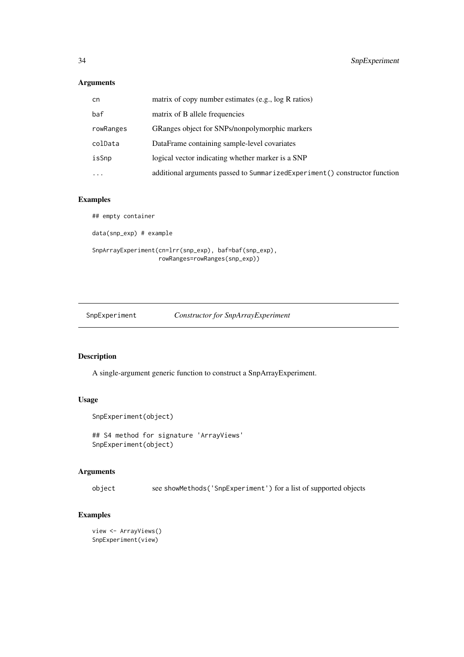#### Arguments

| cn.       | matrix of copy number estimates (e.g., log R ratios)                       |
|-----------|----------------------------------------------------------------------------|
| baf       | matrix of B allele frequencies                                             |
| rowRanges | GRanges object for SNPs/nonpolymorphic markers                             |
| colData   | DataFrame containing sample-level covariates                               |
| isSnp     | logical vector indicating whether marker is a SNP                          |
| $\cdot$   | additional arguments passed to SummarizedExperiment() constructor function |

### Examples

## empty container data(snp\_exp) # example SnpArrayExperiment(cn=lrr(snp\_exp), baf=baf(snp\_exp), rowRanges=rowRanges(snp\_exp))

SnpExperiment *Constructor for SnpArrayExperiment*

### Description

A single-argument generic function to construct a SnpArrayExperiment.

### Usage

```
SnpExperiment(object)
```
## S4 method for signature 'ArrayViews' SnpExperiment(object)

### Arguments

object see showMethods('SnpExperiment') for a list of supported objects

### Examples

```
view <- ArrayViews()
SnpExperiment(view)
```
<span id="page-33-0"></span>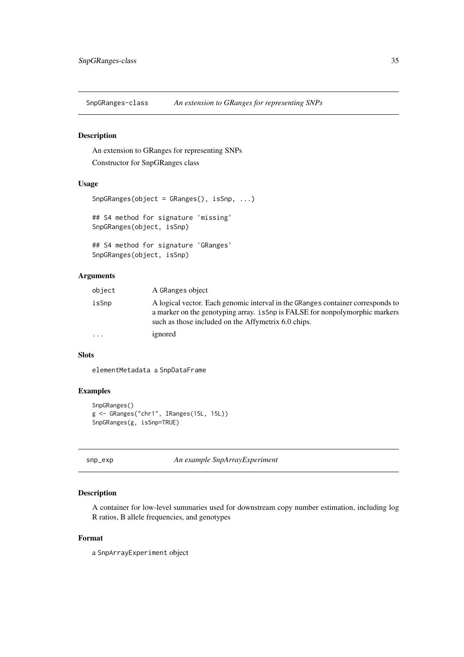<span id="page-34-0"></span>SnpGRanges-class *An extension to GRanges for representing SNPs*

#### Description

An extension to GRanges for representing SNPs Constructor for SnpGRanges class

#### Usage

```
SnpGRanges(object = GRanges(), isSnp, ...)
## S4 method for signature 'missing'
SnpGRanges(object, isSnp)
## S4 method for signature 'GRanges'
SnpGRanges(object, isSnp)
```
#### Arguments

| object    | A GRanges object                                                                                                                                                                                                       |
|-----------|------------------------------------------------------------------------------------------------------------------------------------------------------------------------------------------------------------------------|
| isSnp     | A logical vector. Each genomic interval in the GRanges container corresponds to<br>a marker on the genotyping array, is Snp is FALSE for nonpolymorphic markers<br>such as those included on the Affymetrix 6.0 chips. |
| $\ddotsc$ | ignored                                                                                                                                                                                                                |
|           |                                                                                                                                                                                                                        |

### Slots

elementMetadata a SnpDataFrame

### Examples

```
SnpGRanges()
g <- GRanges("chr1", IRanges(15L, 15L))
SnpGRanges(g, isSnp=TRUE)
```
snp\_exp *An example SnpArrayExperiment*

#### Description

A container for low-level summaries used for downstream copy number estimation, including log R ratios, B allele frequencies, and genotypes

#### Format

a SnpArrayExperiment object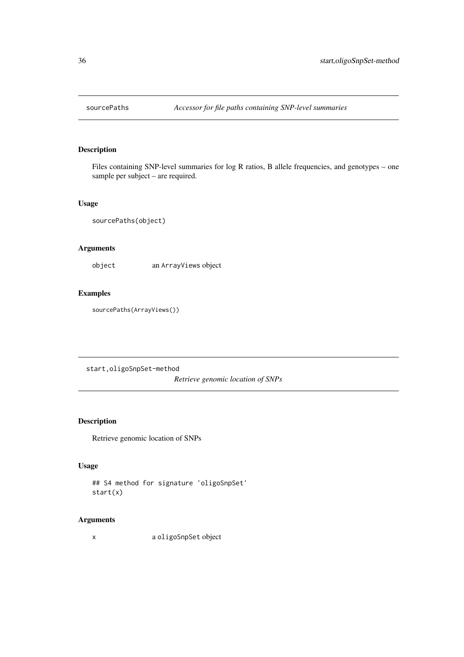<span id="page-35-0"></span>

### Description

Files containing SNP-level summaries for log R ratios, B allele frequencies, and genotypes – one sample per subject – are required.

#### Usage

sourcePaths(object)

### Arguments

object an ArrayViews object

### Examples

sourcePaths(ArrayViews())

start,oligoSnpSet-method

*Retrieve genomic location of SNPs*

### Description

Retrieve genomic location of SNPs

#### Usage

```
## S4 method for signature 'oligoSnpSet'
start(x)
```
### Arguments

x a oligoSnpSet object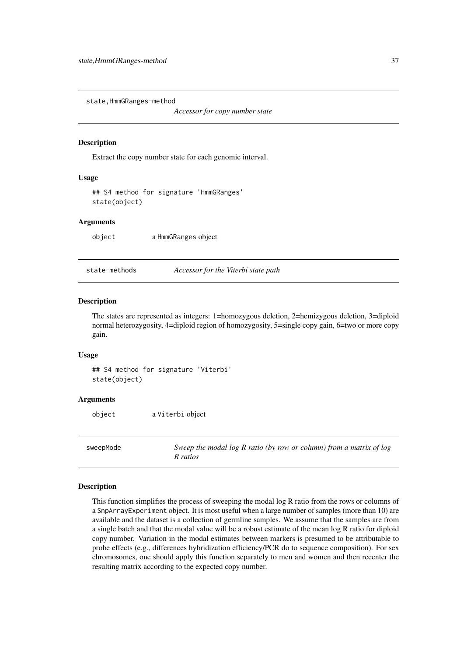<span id="page-36-0"></span>state,HmmGRanges-method

*Accessor for copy number state*

#### Description

Extract the copy number state for each genomic interval.

#### Usage

```
## S4 method for signature 'HmmGRanges'
state(object)
```
#### Arguments

object a HmmGRanges object

state-methods *Accessor for the Viterbi state path*

#### Description

The states are represented as integers: 1=homozygous deletion, 2=hemizygous deletion, 3=diploid normal heterozygosity, 4=diploid region of homozygosity, 5=single copy gain, 6=two or more copy gain.

### Usage

## S4 method for signature 'Viterbi' state(object)

### Arguments

object a Viterbi object

sweepMode *Sweep the modal log R ratio (by row or column) from a matrix of log R ratios*

#### Description

This function simplifies the process of sweeping the modal log R ratio from the rows or columns of a SnpArrayExperiment object. It is most useful when a large number of samples (more than 10) are available and the dataset is a collection of germline samples. We assume that the samples are from a single batch and that the modal value will be a robust estimate of the mean log R ratio for diploid copy number. Variation in the modal estimates between markers is presumed to be attributable to probe effects (e.g., differences hybridization efficiency/PCR do to sequence composition). For sex chromosomes, one should apply this function separately to men and women and then recenter the resulting matrix according to the expected copy number.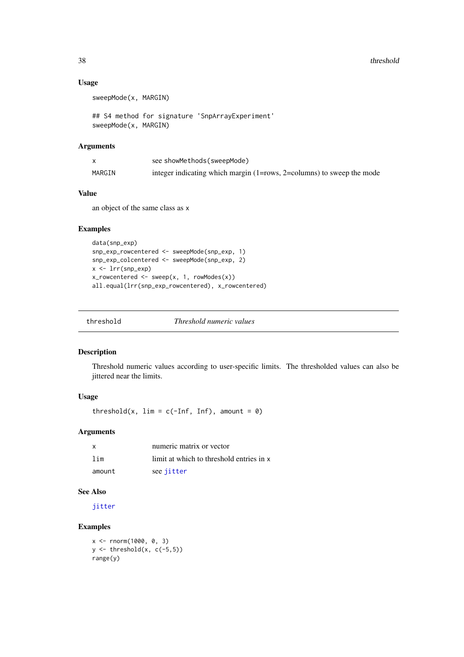#### Usage

sweepMode(x, MARGIN)

```
## S4 method for signature 'SnpArrayExperiment'
sweepMode(x, MARGIN)
```
#### Arguments

|        | see showMethods (sweepMode)                                                 |
|--------|-----------------------------------------------------------------------------|
| MARGIN | integer indicating which margin $(1 = rows, 2 = columns)$ to sweep the mode |

### Value

an object of the same class as x

#### Examples

```
data(snp_exp)
snp_exp_rowcentered <- sweepMode(snp_exp, 1)
snp_exp_colcentered <- sweepMode(snp_exp, 2)
x <- lrr(snp_exp)
x_rowcentered <- sweep(x, 1, rowModes(x))
all.equal(lrr(snp_exp_rowcentered), x_rowcentered)
```
threshold *Threshold numeric values*

#### Description

Threshold numeric values according to user-specific limits. The thresholded values can also be jittered near the limits.

### Usage

threshold(x,  $\lim = c(-\inf, \inf)$ , amount = 0)

#### Arguments

| $\mathsf{x}$ | numeric matrix or vector                 |
|--------------|------------------------------------------|
| lim          | limit at which to threshold entries in x |
| amount       | see jitter                               |

### See Also

[jitter](#page-0-0)

### Examples

```
x < - rnorm(1000, 0, 3)
y \leftarrow threshold(x, c(-5,5))
range(y)
```
<span id="page-37-0"></span>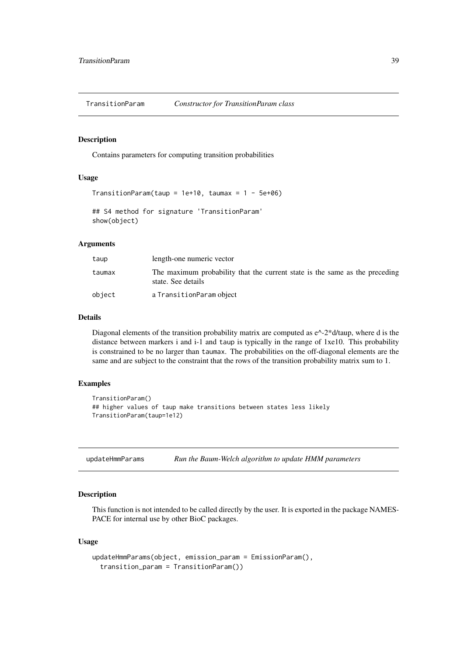<span id="page-38-1"></span><span id="page-38-0"></span>TransitionParam *Constructor for TransitionParam class*

#### Description

Contains parameters for computing transition probabilities

### Usage

```
TransitionParam(taup = 1e+10, taumax = 1 - 5e+06)
## S4 method for signature 'TransitionParam'
show(object)
```
### Arguments

| taup   | length-one numeric vector                                                                         |
|--------|---------------------------------------------------------------------------------------------------|
| taumax | The maximum probability that the current state is the same as the preceding<br>state. See details |
| object | a TransitionParam object                                                                          |

#### Details

Diagonal elements of the transition probability matrix are computed as  $e^{\Lambda}$ -2\*d/taup, where d is the distance between markers i and i-1 and taup is typically in the range of 1xe10. This probability is constrained to be no larger than taumax. The probabilities on the off-diagonal elements are the same and are subject to the constraint that the rows of the transition probability matrix sum to 1.

#### Examples

```
TransitionParam()
## higher values of taup make transitions between states less likely
TransitionParam(taup=1e12)
```
updateHmmParams *Run the Baum-Welch algorithm to update HMM parameters*

### Description

This function is not intended to be called directly by the user. It is exported in the package NAMES-PACE for internal use by other BioC packages.

### Usage

```
updateHmmParams(object, emission_param = EmissionParam(),
  transition_param = TransitionParam())
```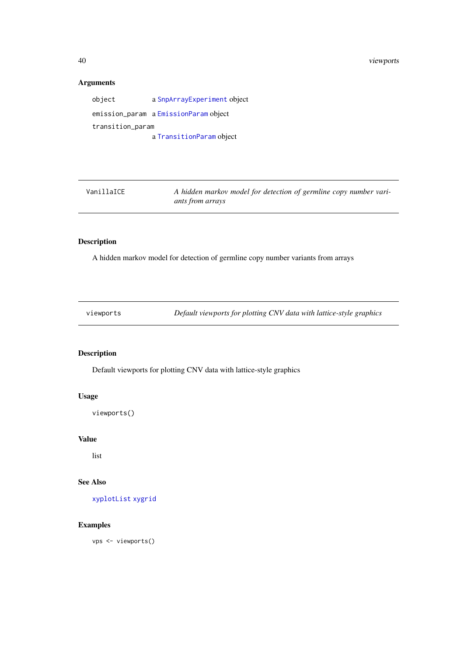#### <span id="page-39-0"></span>Arguments

object a [SnpArrayExperiment](#page-32-1) object emission\_param a [EmissionParam](#page-7-1) object transition\_param a [TransitionParam](#page-38-1) object

VanillaICE *A hidden markov model for detection of germline copy number variants from arrays*

### Description

A hidden markov model for detection of germline copy number variants from arrays

<span id="page-39-1"></span>viewports *Default viewports for plotting CNV data with lattice-style graphics*

### Description

Default viewports for plotting CNV data with lattice-style graphics

### Usage

viewports()

### Value

list

#### See Also

[xyplotList](#page-40-1) [xygrid](#page-40-2)

#### Examples

vps <- viewports()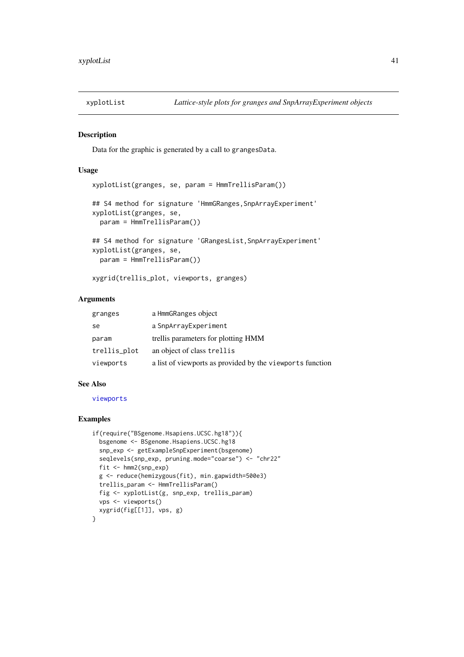<span id="page-40-1"></span><span id="page-40-0"></span>

#### <span id="page-40-2"></span>Description

Data for the graphic is generated by a call to grangesData.

#### Usage

```
xyplotList(granges, se, param = HmmTrellisParam())
## S4 method for signature 'HmmGRanges, SnpArrayExperiment'
xyplotList(granges, se,
  param = HmmTrellisParam())
## S4 method for signature 'GRangesList, SnpArrayExperiment'
xyplotList(granges, se,
```
param = HmmTrellisParam())

xygrid(trellis\_plot, viewports, granges)

### Arguments

| granges      | a HmmGRanges object                                       |
|--------------|-----------------------------------------------------------|
| se           | a SnpArrayExperiment                                      |
| param        | trellis parameters for plotting HMM                       |
| trellis_plot | an object of class trellis                                |
| viewports    | a list of viewports as provided by the viewports function |

#### See Also

[viewports](#page-39-1)

#### Examples

```
if(require("BSgenome.Hsapiens.UCSC.hg18")){
  bsgenome <- BSgenome.Hsapiens.UCSC.hg18
  snp_exp <- getExampleSnpExperiment(bsgenome)
  seqlevels(snp_exp, pruning.mode="coarse") <- "chr22"
  fit <- hmm2(snp_exp)
  g <- reduce(hemizygous(fit), min.gapwidth=500e3)
  trellis_param <- HmmTrellisParam()
  fig <- xyplotList(g, snp_exp, trellis_param)
  vps <- viewports()
  xygrid(fig[[1]], vps, g)
}
```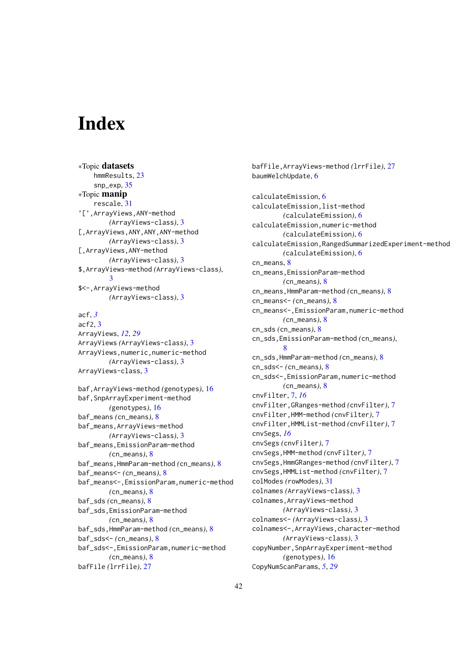# <span id="page-41-0"></span>Index

∗Topic datasets hmmResults, [23](#page-22-0) snp\_exp, [35](#page-34-0) ∗Topic manip rescale, [31](#page-30-0) '[',ArrayViews,ANY-method *(*ArrayViews-class*)*, [3](#page-2-0) [,ArrayViews,ANY,ANY,ANY-method *(*ArrayViews-class*)*, [3](#page-2-0) [,ArrayViews,ANY-method *(*ArrayViews-class*)*, [3](#page-2-0) \$,ArrayViews-method *(*ArrayViews-class*)*, [3](#page-2-0) \$<-,ArrayViews-method *(*ArrayViews-class*)*, [3](#page-2-0) acf, *[3](#page-2-0)* acf2, [3](#page-2-0) ArrayViews, *[12](#page-11-0)*, *[29](#page-28-0)* ArrayViews *(*ArrayViews-class*)*, [3](#page-2-0) ArrayViews,numeric,numeric-method *(*ArrayViews-class*)*, [3](#page-2-0) ArrayViews-class, [3](#page-2-0) baf,ArrayViews-method *(*genotypes*)*, [16](#page-15-0) baf,SnpArrayExperiment-method *(*genotypes*)*, [16](#page-15-0) baf\_means *(*cn\_means*)*, [8](#page-7-0) baf\_means,ArrayViews-method *(*ArrayViews-class*)*, [3](#page-2-0) baf\_means,EmissionParam-method *(*cn\_means*)*, [8](#page-7-0) baf\_means,HmmParam-method *(*cn\_means*)*, [8](#page-7-0) baf\_means<- *(*cn\_means*)*, [8](#page-7-0) baf\_means<-,EmissionParam,numeric-method *(*cn\_means*)*, [8](#page-7-0) baf\_sds *(*cn\_means*)*, [8](#page-7-0) baf\_sds,EmissionParam-method *(*cn\_means*)*, [8](#page-7-0) baf\_sds,HmmParam-method *(*cn\_means*)*, [8](#page-7-0) baf\_sds<- *(*cn\_means*)*, [8](#page-7-0) baf\_sds<-,EmissionParam,numeric-method *(*cn\_means*)*, [8](#page-7-0) bafFile *(*lrrFile*)*, [27](#page-26-0)

bafFile,ArrayViews-method *(*lrrFile*)*, [27](#page-26-0) baumWelchUpdate, [6](#page-5-0) calculateEmission, [6](#page-5-0) calculateEmission, list-method *(*calculateEmission*)*, [6](#page-5-0) calculateEmission,numeric-method *(*calculateEmission*)*, [6](#page-5-0) calculateEmission,RangedSummarizedExperiment-method *(*calculateEmission*)*, [6](#page-5-0) cn means. [8](#page-7-0) cn\_means,EmissionParam-method *(*cn\_means*)*, [8](#page-7-0) cn\_means,HmmParam-method *(*cn\_means*)*, [8](#page-7-0) cn\_means<- *(*cn\_means*)*, [8](#page-7-0) cn\_means<-,EmissionParam,numeric-method *(*cn\_means*)*, [8](#page-7-0) cn\_sds *(*cn\_means*)*, [8](#page-7-0) cn\_sds,EmissionParam-method *(*cn\_means*)*, [8](#page-7-0) cn\_sds,HmmParam-method *(*cn\_means*)*, [8](#page-7-0) cn\_sds<- *(*cn\_means*)*, [8](#page-7-0) cn\_sds<-,EmissionParam,numeric-method *(*cn\_means*)*, [8](#page-7-0) cnvFilter, [7,](#page-6-0) *[16](#page-15-0)* cnvFilter,GRanges-method *(*cnvFilter*)*, [7](#page-6-0) cnvFilter,HMM-method *(*cnvFilter*)*, [7](#page-6-0) cnvFilter,HMMList-method *(*cnvFilter*)*, [7](#page-6-0) cnvSegs, *[16](#page-15-0)* cnvSegs *(*cnvFilter*)*, [7](#page-6-0) cnvSegs,HMM-method *(*cnvFilter*)*, [7](#page-6-0) cnvSegs,HmmGRanges-method *(*cnvFilter*)*, [7](#page-6-0) cnvSegs,HMMList-method *(*cnvFilter*)*, [7](#page-6-0) colModes *(*rowModes*)*, [31](#page-30-0) colnames *(*ArrayViews-class*)*, [3](#page-2-0) colnames,ArrayViews-method *(*ArrayViews-class*)*, [3](#page-2-0) colnames<- *(*ArrayViews-class*)*, [3](#page-2-0) colnames<-,ArrayViews,character-method *(*ArrayViews-class*)*, [3](#page-2-0) copyNumber,SnpArrayExperiment-method *(*genotypes*)*, [16](#page-15-0) CopyNumScanParams, *[5](#page-4-0)*, *[29](#page-28-0)*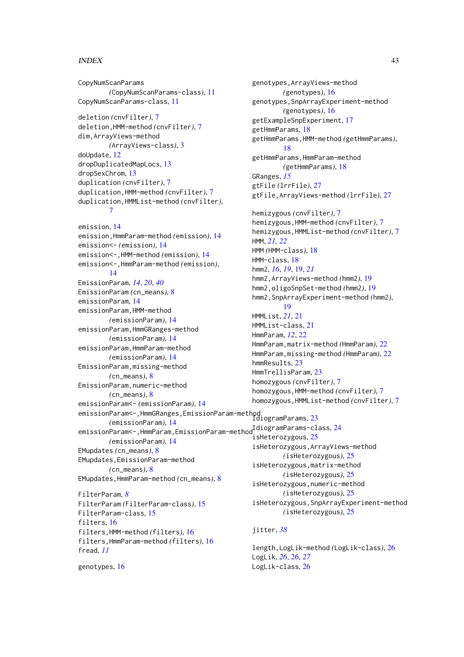#### INDEX 43

CopyNumScanParams *(*CopyNumScanParams-class*)*, [11](#page-10-0) CopyNumScanParams-class, [11](#page-10-0) deletion *(*cnvFilter*)*, [7](#page-6-0) deletion,HMM-method *(*cnvFilter*)*, [7](#page-6-0) dim,ArrayViews-method *(*ArrayViews-class*)*, [3](#page-2-0) doUpdate, [12](#page-11-0) dropDuplicatedMapLocs, [13](#page-12-0) dropSexChrom, [13](#page-12-0) duplication *(*cnvFilter*)*, [7](#page-6-0) duplication,HMM-method *(*cnvFilter*)*, [7](#page-6-0) duplication,HMMList-method *(*cnvFilter*)*, [7](#page-6-0) emission, [14](#page-13-0) emission,HmmParam-method *(*emission*)*, [14](#page-13-0) emission<- *(*emission*)*, [14](#page-13-0) emission<-,HMM-method *(*emission*)*, [14](#page-13-0) emission<-,HmmParam-method *(*emission*)*, [14](#page-13-0) EmissionParam, *[14](#page-13-0)*, *[20](#page-19-0)*, *[40](#page-39-0)* EmissionParam *(*cn\_means*)*, [8](#page-7-0) emissionParam, [14](#page-13-0) emissionParam,HMM-method *(*emissionParam*)*, [14](#page-13-0) emissionParam,HmmGRanges-method *(*emissionParam*)*, [14](#page-13-0) emissionParam,HmmParam-method *(*emissionParam*)*, [14](#page-13-0) EmissionParam,missing-method *(*cn\_means*)*, [8](#page-7-0) EmissionParam,numeric-method *(*cn\_means*)*, [8](#page-7-0) emissionParam<- *(*emissionParam*)*, [14](#page-13-0) emissionParam<-,HmmGRanges,EmissionParam-method IdiogramParams, [23](#page-22-0) *(*emissionParam*)*, [14](#page-13-0) emissionParam<-,HmmParam,EmissionParam-method.com/harams-class, [24](#page-23-0) *(*emissionParam*)*, [14](#page-13-0) EMupdates *(*cn\_means*)*, [8](#page-7-0) EMupdates,EmissionParam-method *(*cn\_means*)*, [8](#page-7-0) EMupdates,HmmParam-method *(*cn\_means*)*, [8](#page-7-0) FilterParam, *[8](#page-7-0)* FilterParam *(*FilterParam-class*)*, [15](#page-14-0) FilterParam-class, [15](#page-14-0) filters, [16](#page-15-0) filters,HMM-method *(*filters*)*, [16](#page-15-0) filters,HmmParam-method *(*filters*)*, [16](#page-15-0) fread, *[11](#page-10-0)* genotypes, [16](#page-15-0)

genotypes,ArrayViews-method *(*genotypes*)*, [16](#page-15-0) genotypes,SnpArrayExperiment-method *(*genotypes*)*, [16](#page-15-0) getExampleSnpExperiment, [17](#page-16-0) getHmmParams, [18](#page-17-0) getHmmParams,HMM-method *(*getHmmParams*)*, [18](#page-17-0) getHmmParams,HmmParam-method *(*getHmmParams*)*, [18](#page-17-0) GRanges, *[15](#page-14-0)* gtFile *(*lrrFile*)*, [27](#page-26-0) gtFile,ArrayViews-method *(*lrrFile*)*, [27](#page-26-0) hemizygous *(*cnvFilter*)*, [7](#page-6-0) hemizygous,HMM-method *(*cnvFilter*)*, [7](#page-6-0) hemizygous,HMMList-method *(*cnvFilter*)*, [7](#page-6-0) HMM, *[21,](#page-20-0) [22](#page-21-0)* HMM *(*HMM-class*)*, [18](#page-17-0) HMM-class, [18](#page-17-0) hmm2, *[16](#page-15-0)*, *[19](#page-18-0)*, [19,](#page-18-0) *[21](#page-20-0)* hmm2,ArrayViews-method *(*hmm2*)*, [19](#page-18-0) hmm2,oligoSnpSet-method *(*hmm2*)*, [19](#page-18-0) hmm2,SnpArrayExperiment-method *(*hmm2*)*, [19](#page-18-0) HMMList, *[21](#page-20-0)*, [21](#page-20-0) HMMList-class, [21](#page-20-0) HmmParam, *[12](#page-11-0)*, [22](#page-21-0) HmmParam,matrix-method *(*HmmParam*)*, [22](#page-21-0) HmmParam,missing-method *(*HmmParam*)*, [22](#page-21-0) hmmResults, [23](#page-22-0) HmmTrellisParam, [23](#page-22-0) homozygous *(*cnvFilter*)*, [7](#page-6-0) homozygous,HMM-method *(*cnvFilter*)*, [7](#page-6-0) homozygous,HMMList-method *(*cnvFilter*)*, [7](#page-6-0) isHeterozygous, [25](#page-24-0) isHeterozygous,ArrayViews-method *(*isHeterozygous*)*, [25](#page-24-0) isHeterozygous,matrix-method *(*isHeterozygous*)*, [25](#page-24-0) isHeterozygous,numeric-method *(*isHeterozygous*)*, [25](#page-24-0) isHeterozygous,SnpArrayExperiment-method *(*isHeterozygous*)*, [25](#page-24-0) jitter, *[38](#page-37-0)*

length,LogLik-method *(*LogLik-class*)*, [26](#page-25-0) LogLik, *[26](#page-25-0)*, [26,](#page-25-0) *[27](#page-26-0)* LogLik-class, [26](#page-25-0)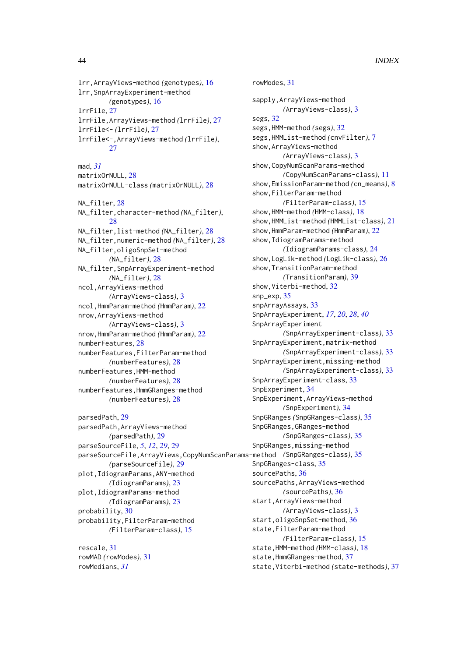lrr,ArrayViews-method *(*genotypes*)*, [16](#page-15-0) lrr,SnpArrayExperiment-method *(*genotypes*)*, [16](#page-15-0) lrrFile, [27](#page-26-0) lrrFile,ArrayViews-method *(*lrrFile*)*, [27](#page-26-0) lrrFile<- *(*lrrFile*)*, [27](#page-26-0) lrrFile<-,ArrayViews-method *(*lrrFile*)*, [27](#page-26-0) mad, *[31](#page-30-0)* matrixOrNULL, [28](#page-27-0) matrixOrNULL-class *(*matrixOrNULL*)*, [28](#page-27-0) NA\_filter. [28](#page-27-0) NA\_filter,character-method *(*NA\_filter*)*,  $28$ NA\_filter,list-method *(*NA\_filter*)*, [28](#page-27-0) NA\_filter,numeric-method *(*NA\_filter*)*, [28](#page-27-0) NA\_filter,oligoSnpSet-method *(*NA\_filter*)*, [28](#page-27-0) NA\_filter,SnpArrayExperiment-method *(*NA\_filter*)*, [28](#page-27-0) ncol,ArrayViews-method *(*ArrayViews-class*)*, [3](#page-2-0) ncol,HmmParam-method *(*HmmParam*)*, [22](#page-21-0) nrow,ArrayViews-method *(*ArrayViews-class*)*, [3](#page-2-0) nrow,HmmParam-method *(*HmmParam*)*, [22](#page-21-0) numberFeatures, [28](#page-27-0) numberFeatures,FilterParam-method *(*numberFeatures*)*, [28](#page-27-0) numberFeatures,HMM-method *(*numberFeatures*)*, [28](#page-27-0) numberFeatures,HmmGRanges-method *(*numberFeatures*)*, [28](#page-27-0)

```
parsedPath, 29
parsedPath,ArrayViews-method
        (parsedPath), 29
parseSourceFile, 5, 12, 29, 29
parseSourceFile,ArrayViews,CopyNumScanParams-method
(SnpGRanges-class), 35
        (parseSourceFile), 29
plot,IdiogramParams,ANY-method
        (IdiogramParams), 23
plot,IdiogramParams-method
        (IdiogramParams), 23
probability, 30
probability,FilterParam-method
        (FilterParam-class), 15
```
rescale, [31](#page-30-0) rowMAD *(*rowModes*)*, [31](#page-30-0) rowMedians, *[31](#page-30-0)*

rowModes, [31](#page-30-0) sapply,ArrayViews-method *(*ArrayViews-class*)*, [3](#page-2-0) segs, [32](#page-31-0) segs,HMM-method *(*segs*)*, [32](#page-31-0) segs,HMMList-method *(*cnvFilter*)*, [7](#page-6-0) show,ArrayViews-method *(*ArrayViews-class*)*, [3](#page-2-0) show,CopyNumScanParams-method *(*CopyNumScanParams-class*)*, [11](#page-10-0) show,EmissionParam-method *(*cn\_means*)*, [8](#page-7-0) show,FilterParam-method *(*FilterParam-class*)*, [15](#page-14-0) show,HMM-method *(*HMM-class*)*, [18](#page-17-0) show,HMMList-method *(*HMMList-class*)*, [21](#page-20-0) show,HmmParam-method *(*HmmParam*)*, [22](#page-21-0) show,IdiogramParams-method *(*IdiogramParams-class*)*, [24](#page-23-0) show,LogLik-method *(*LogLik-class*)*, [26](#page-25-0) show,TransitionParam-method *(*TransitionParam*)*, [39](#page-38-0) show,Viterbi-method, [32](#page-31-0) snp\_exp, [35](#page-34-0) snpArrayAssays, [33](#page-32-0) SnpArrayExperiment, *[17](#page-16-0)*, *[20](#page-19-0)*, *[28](#page-27-0)*, *[40](#page-39-0)* SnpArrayExperiment *(*SnpArrayExperiment-class*)*, [33](#page-32-0) SnpArrayExperiment,matrix-method *(*SnpArrayExperiment-class*)*, [33](#page-32-0) SnpArrayExperiment,missing-method *(*SnpArrayExperiment-class*)*, [33](#page-32-0) SnpArrayExperiment-class, [33](#page-32-0) SnpExperiment, [34](#page-33-0) SnpExperiment,ArrayViews-method *(*SnpExperiment*)*, [34](#page-33-0) SnpGRanges *(*SnpGRanges-class*)*, [35](#page-34-0) SnpGRanges,GRanges-method *(*SnpGRanges-class*)*, [35](#page-34-0) SnpGRanges,missing-method SnpGRanges-class, [35](#page-34-0) sourcePaths, [36](#page-35-0) sourcePaths,ArrayViews-method *(*sourcePaths*)*, [36](#page-35-0) start,ArrayViews-method *(*ArrayViews-class*)*, [3](#page-2-0) start,oligoSnpSet-method, [36](#page-35-0) state,FilterParam-method *(*FilterParam-class*)*, [15](#page-14-0) state,HMM-method *(*HMM-class*)*, [18](#page-17-0) state,HmmGRanges-method, [37](#page-36-0) state,Viterbi-method *(*state-methods*)*, [37](#page-36-0)